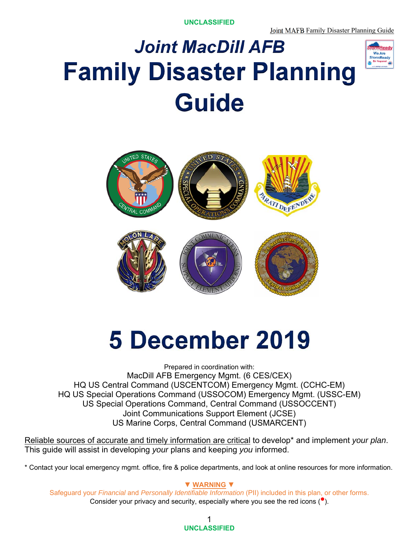**UNCLASSIFIED** 

# *Joint MacDill AFB* **Family Disaster Planning Guide**





# **5 December 2019**

Prepared in coordination with: MacDill AFB Emergency Mgmt. (6 CES/CEX) HQ US Central Command (USCENTCOM) Emergency Mgmt. (CCHC-EM) HQ US Special Operations Command (USSOCOM) Emergency Mgmt. (USSC-EM) US Special Operations Command, Central Command (USSOCCENT) Joint Communications Support Element (JCSE) US Marine Corps, Central Command (USMARCENT)

Reliable sources of accurate and timely information are critical to develop\* and implement *your plan*. This guide will assist in developing *your* plans and keeping *you* informed.

\* Contact your local emergency mgmt. office, fire & police departments, and look at online resources for more information.

#### **▼ WARNING ▼**

Safeguard your *Financial* and *Personally Identifiable Information* (PII) included in this plan, or other forms. Consider your privacy and security, especially where you see the red icons  $(•)$ .

> 1 **UNCLASSIFIED**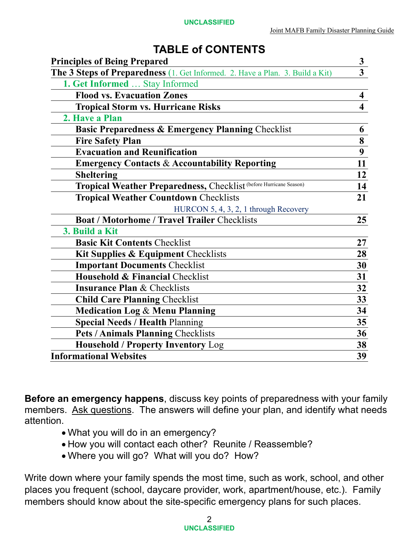# **TABLE of CONTENTS**

| <b>Principles of Being Prepared</b>                                           | $\mathbf{3}$            |
|-------------------------------------------------------------------------------|-------------------------|
| The 3 Steps of Preparedness (1. Get Informed. 2. Have a Plan. 3. Build a Kit) | $\overline{\mathbf{3}}$ |
| 1. Get Informed  Stay Informed                                                |                         |
| <b>Flood vs. Evacuation Zones</b>                                             | $\overline{\mathbf{4}}$ |
| <b>Tropical Storm vs. Hurricane Risks</b>                                     | $\overline{\mathbf{4}}$ |
| 2. Have a Plan                                                                |                         |
| <b>Basic Preparedness &amp; Emergency Planning Checklist</b>                  | 6                       |
| <b>Fire Safety Plan</b>                                                       | 8                       |
| <b>Evacuation and Reunification</b>                                           | $\overline{9}$          |
| <b>Emergency Contacts &amp; Accountability Reporting</b>                      | 11                      |
| <b>Sheltering</b>                                                             | 12                      |
| Tropical Weather Preparedness, Checklist (before Hurricane Season)            | 14                      |
| <b>Tropical Weather Countdown Checklists</b>                                  | 21                      |
| HURCON 5, 4, 3, 2, 1 through Recovery                                         |                         |
| <b>Boat / Motorhome / Travel Trailer Checklists</b>                           | 25                      |
| 3. Build a Kit                                                                |                         |
| <b>Basic Kit Contents Checklist</b>                                           | 27                      |
| Kit Supplies & Equipment Checklists                                           | 28                      |
| <b>Important Documents Checklist</b>                                          | 30                      |
| Household & Financial Checklist                                               | 31                      |
| <b>Insurance Plan &amp; Checklists</b>                                        | 32                      |
| <b>Child Care Planning Checklist</b>                                          | 33                      |
| <b>Medication Log &amp; Menu Planning</b>                                     | 34                      |
| <b>Special Needs / Health Planning</b>                                        | 35                      |
| <b>Pets / Animals Planning Checklists</b>                                     | 36                      |
| <b>Household / Property Inventory Log</b>                                     | 38                      |
| <b>Informational Websites</b>                                                 | 39                      |

**Before an emergency happens**, discuss key points of preparedness with your family members. Ask questions. The answers will define your plan, and identify what needs attention.

- What you will do in an emergency?
- How you will contact each other? Reunite / Reassemble?
- Where you will go? What will you do? How?

Write down where your family spends the most time, such as work, school, and other places you frequent (school, daycare provider, work, apartment/house, etc.). Family members should know about the site-specific emergency plans for such places.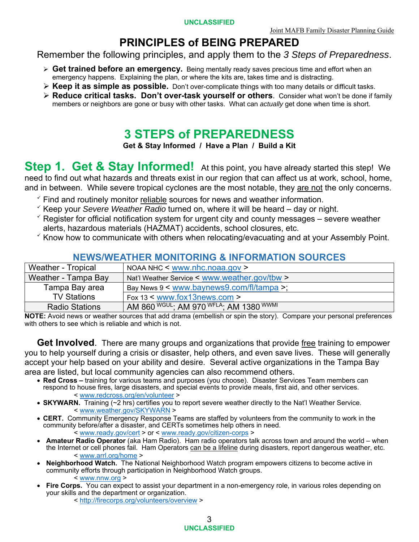### **PRINCIPLES of BEING PREPARED**

Remember the following principles, and apply them to the *3 Steps of Preparedness*.

- **Get trained before an emergency.** Being mentally ready saves precious time and effort when an emergency happens. Explaining the plan, or where the kits are, takes time and is distracting.
- **Keep it as simple as possible.** Don't over-complicate things with too many details or difficult tasks.
- **Reduce critical tasks. Don't over-task yourself or others**. Consider what won't be done if family members or neighbors are gone or busy with other tasks. What can *actually* get done when time is short.

# **3 STEPS of PREPAREDNESS**

**Get & Stay Informed / Have a Plan / Build a Kit** 

**Step 1. Get & Stay Informed!** At this point, you have already started this step! We need to find out what hazards and threats exist in our region that can affect us at work, school, home, and in between. While severe tropical cyclones are the most notable, they are not the only concerns.

- $\check{\ }$  Find and routinely monitor reliable sources for news and weather information.
- $\checkmark$  Keep your *Severe Weather Radio* turned on, where it will be heard  $-$  day or night.
- $\checkmark$  Register for official notification system for urgent city and county messages severe weather alerts, hazardous materials (HAZMAT) accidents, school closures, etc.
- $\checkmark$  Know how to communicate with others when relocating/evacuating and at your Assembly Point.

#### **NEWS/WEATHER MONITORING & INFORMATION SOURCES**

| Weather - Tropical    | NOAA NHC $\leq$ www.nhc.noaa.gov $>$               |
|-----------------------|----------------------------------------------------|
| Weather - Tampa Bay   | Nat'l Weather Service < www.weather.gov/tbw >      |
| Tampa Bay area        | Bay News $9 \leq$ www.baynews $9$ .com/fl/tampa >; |
| <b>TV Stations</b>    | Fox 13 $\leq$ www.fox13news.com $\geq$             |
| <b>Radio Stations</b> | AM 860 WGUL; AM 970 WFLA; AM 1380 WWMI             |

**NOTE:** Avoid news or weather sources that add drama (embellish or spin the story). Compare your personal preferences with others to see which is reliable and which is not.

**Get Involved**. There are many groups and organizations that provide free training to empower you to help yourself during a crisis or disaster, help others, and even save lives. These will generally accept your help based on your ability and desire. Several active organizations in the Tampa Bay area are listed, but local community agencies can also recommend others.

- **Red Cross –** training for various teams and purposes (you choose). Disaster Services Team members can respond to house fires, large disasters, and special events to provide meals, first aid, and other services. < www.redcross.org/en/volunteer >
- SKYWARN. Training (~2 hrs) certifies you to report severe weather directly to the Nat'l Weather Service. < www.weather.gov/SKYWARN >
- **CERT.** Community Emergency Response Teams are staffed by volunteers from the community to work in the community before/after a disaster, and CERTs sometimes help others in need. < www.ready.gov/cert > or < www.ready.gov/citizen-corps >
- **Amateur Radio Operator** (aka Ham Radio). Ham radio operators talk across town and around the world when the Internet or cell phones fail. Ham Operators can be a lifeline during disasters, report dangerous weather, etc. < www.arrl.org/home >
- **Neighborhood Watch.** The National Neighborhood Watch program empowers citizens to become active in community efforts through participation in Neighborhood Watch groups. < www.nnw.org >
- **Fire Corps.** You can expect to assist your department in a non-emergency role, in various roles depending on your skills and the department or organization.
	- < http://firecorps.org/volunteers/overview >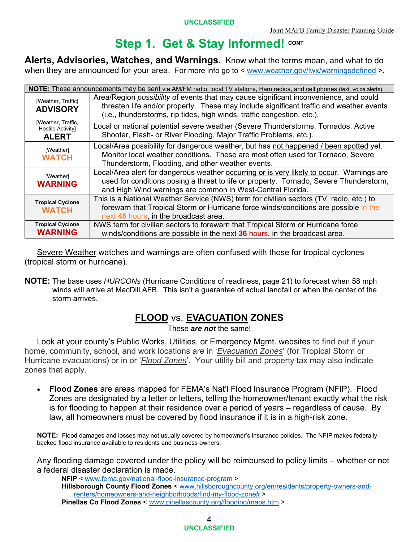# **Step 1. Get & Stay Informed! CONT**

**Alerts, Advisories, Watches, and Warnings**. Know what the terms mean, and what to do when they are announced for your area. For more info go to < www.weather.gov/lwx/warningsdefined >.

|                                                                                                                                                                                                                    | NOTE: These announcements may be sent via AM/FM radio, local TV stations, Ham radios, and cell phones (text, voice alerts).                                                                                                                                        |  |  |  |
|--------------------------------------------------------------------------------------------------------------------------------------------------------------------------------------------------------------------|--------------------------------------------------------------------------------------------------------------------------------------------------------------------------------------------------------------------------------------------------------------------|--|--|--|
| [Weather, Traffic]<br><b>ADVISORY</b>                                                                                                                                                                              | Area/Region <i>possibility</i> of events that may cause significant inconvenience, and could<br>threaten life and/or property. These may include significant traffic and weather events<br>(i.e., thunderstorms, rip tides, high winds, traffic congestion, etc.). |  |  |  |
| [Weather, Traffic,<br>Local or national potential severe weather (Severe Thunderstorms, Tornados, Active<br>Hostile Activity]<br>Shooter, Flash- or River Flooding, Major Traffic Problems, etc.).<br><b>ALERT</b> |                                                                                                                                                                                                                                                                    |  |  |  |
| [Weather]<br><b>WATCH</b>                                                                                                                                                                                          | Local/Area possibility for dangerous weather, but has not happened / been spotted yet.<br>Monitor local weather conditions. These are most often used for Tornado, Severe<br>Thunderstorm, Flooding, and other weather events.                                     |  |  |  |
| [Weather]<br><b>WARNING</b>                                                                                                                                                                                        | Local/Area alert for dangerous weather <b>occurring or is very likely to occur</b> . Warnings are<br>used for conditions posing a threat to life or property. Tornado, Severe Thunderstorm,<br>and High Wind warnings are common in West-Central Florida.          |  |  |  |
| <b>Tropical Cyclone</b><br><b>WATCH</b>                                                                                                                                                                            | This is a National Weather Service (NWS) term for civilian sectors (TV, radio, etc.) to<br>forewarn that Tropical Storm or Hurricane force winds/conditions are possible in the<br>next 48 hours, in the broadcast area.                                           |  |  |  |
| <b>Tropical Cyclone</b><br><b>WARNING</b>                                                                                                                                                                          | NWS term for civilian sectors to forewarn that Tropical Storm or Hurricane force<br>winds/conditions are possible in the next 36 hours, in the broadcast area.                                                                                                     |  |  |  |

Severe Weather watches and warnings are often confused with those for tropical cyclones (tropical storm or hurricane).

**NOTE:** The base uses *HURCONs* (Hurricane Conditions of readiness, page 21) to forecast when 58 mph winds will arrive at MacDill AFB. This isn't a guarantee of actual landfall or when the center of the storm arrives.

#### **FLOOD** vs. **EVACUATION ZONES**

These *are not* the same!

Look at your county's Public Works, Utilities, or Emergency Mgmt. websites to find out if your home, community, school, and work locations are in '*Evacuation Zones*' (for Tropical Storm or Hurricane evacuations) or in or '*Flood Zones*'. Your utility bill and property tax may also indicate zones that apply.

 **Flood Zones** are areas mapped for FEMA's Nat'l Flood Insurance Program (NFIP). Flood Zones are designated by a letter or letters, telling the homeowner/tenant exactly what the risk is for flooding to happen at their residence over a period of years – regardless of cause. By law, all homeowners must be covered by flood insurance if it is in a high-risk zone.

**NOTE:** Flood damages and losses may not usually covered by homeowner's insurance policies. The NFIP makes federallybacked flood insurance available to residents and business owners.

Any flooding damage covered under the policy will be reimbursed to policy limits – whether or not a federal disaster declaration is made.

**NFIP** < www.fema.gov/national-flood-insurance-program > **Hillsborough County Flood Zones** < www.hillsboroughcounty.org/en/residents/property-owners-andrenters/homeowners-and-neighborhoods/find-my-flood-zone# > **Pinellas Co Flood Zones** <sup>&</sup>lt; www.pinellascounty.org/flooding/maps.htm >

> 4 **UNCLASSIFIED**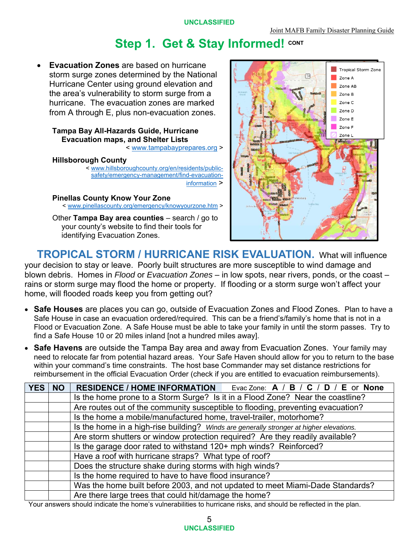# **Step 1. Get & Stay Informed! CONT**

 **Evacuation Zones** are based on hurricane storm surge zones determined by the National Hurricane Center using ground elevation and the area's vulnerability to storm surge from a hurricane. The evacuation zones are marked from A through E, plus non-evacuation zones.

#### **Tampa Bay All-Hazards Guide, Hurricane Evacuation maps, and Shelter Lists**

< www.tampabayprepares.org >

#### **Hillsborough County**

< www.hillsboroughcounty.org/en/residents/publicsafety/emergency-management/find-evacuationinformation >

# **Pinellas County Know Your Zone** < www.pinellascounty.org/emergency/knowyourzone.htm >

Other **Tampa Bay area counties** – search / go to your county's website to find their tools for identifying Evacuation Zones.



**TROPICAL STORM / HURRICANE RISK EVALUATION.** What will influence your decision to stay or leave. Poorly built structures are more susceptible to wind damage and blown debris. Homes in *Flood* or *Evacuation Zones* – in low spots, near rivers, ponds, or the coast – rains or storm surge may flood the home or property. If flooding or a storm surge won't affect your home, will flooded roads keep you from getting out?

- **Safe Houses** are places you can go, outside of Evacuation Zones and Flood Zones. Plan to have a Safe House in case an evacuation ordered/required. This can be a friend's/family's home that is not in a Flood or Evacuation Zone. A Safe House must be able to take your family in until the storm passes. Try to find a Safe House 10 or 20 miles inland [not a hundred miles away].
- **Safe Havens** are outside the Tampa Bay area and away from Evacuation Zones. Your family may need to relocate far from potential hazard areas. Your Safe Haven should allow for you to return to the base within your command's time constraints. The host base Commander may set distance restrictions for reimbursement in the official Evacuation Order (check if you are entitled to evacuation reimbursements).

| <b>YES</b> | <b>NO</b> | <b>RESIDENCE / HOME INFORMATION</b><br>Evac Zone: $A / B / C / D / E$ or None           |  |  |
|------------|-----------|-----------------------------------------------------------------------------------------|--|--|
|            |           | Is the home prone to a Storm Surge? Is it in a Flood Zone? Near the coastline?          |  |  |
|            |           | Are routes out of the community susceptible to flooding, preventing evacuation?         |  |  |
|            |           | Is the home a mobile/manufactured home, travel-trailer, motorhome?                      |  |  |
|            |           | Is the home in a high-rise building? Winds are generally stronger at higher elevations. |  |  |
|            |           | Are storm shutters or window protection required? Are they readily available?           |  |  |
|            |           | Is the garage door rated to withstand 120+ mph winds? Reinforced?                       |  |  |
|            |           | Have a roof with hurricane straps? What type of roof?                                   |  |  |
|            |           | Does the structure shake during storms with high winds?                                 |  |  |
|            |           | Is the home required to have to have flood insurance?                                   |  |  |
|            |           | Was the home built before 2003, and not updated to meet Miami-Dade Standards?           |  |  |
|            |           | Are there large trees that could hit/damage the home?                                   |  |  |

Your answers should indicate the home's vulnerabilities to hurricane risks, and should be reflected in the plan.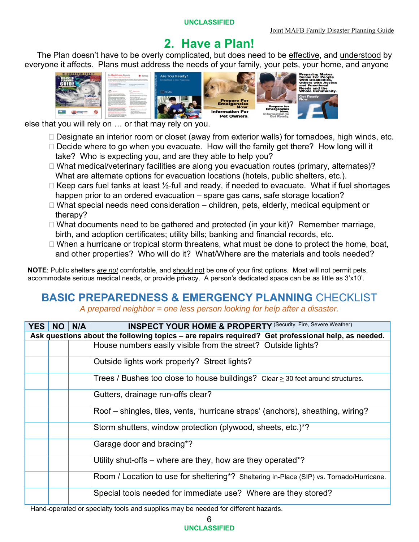# **2. Have a Plan!**

The Plan doesn't have to be overly complicated, but does need to be effective, and understood by everyone it affects. Plans must address the needs of your family, your pets, your home, and anyone



else that you will rely on … or that may rely on you.

- $\Box$  Designate an interior room or closet (away from exterior walls) for tornadoes, high winds, etc.
- $\Box$  Decide where to go when you evacuate. How will the family get there? How long will it take? Who is expecting you, and are they able to help you?
- □ What medical/veterinary facilities are along you evacuation routes (primary, alternates)? What are alternate options for evacuation locations (hotels, public shelters, etc.).
- $\Box$  Keep cars fuel tanks at least  $\frac{1}{2}$ -full and ready, if needed to evacuate. What if fuel shortages happen prior to an ordered evacuation – spare gas cans, safe storage location?
- $\Box$  What special needs need consideration children, pets, elderly, medical equipment or therapy?
- $\Box$  What documents need to be gathered and protected (in your kit)? Remember marriage, birth, and adoption certificates; utility bills; banking and financial records, etc.
- $\Box$  When a hurricane or tropical storm threatens, what must be done to protect the home, boat, and other properties? Who will do it? What/Where are the materials and tools needed?

**NOTE**: Public shelters *are not* comfortable, and should not be one of your first options. Most will not permit pets, accommodate serious medical needs, or provide privacy. A person's dedicated space can be as little as 3'x10'.

# **BASIC PREPAREDNESS & EMERGENCY PLANNING** CHECKLIST

*A prepared neighbor = one less person looking for help after a disaster.* 

| <b>YES</b> | <b>NO</b> | N/A | <b>INSPECT YOUR HOME &amp; PROPERTY (Security, Fire, Severe Weather)</b>                                            |
|------------|-----------|-----|---------------------------------------------------------------------------------------------------------------------|
|            |           |     | Ask questions about the following topics - are repairs required? Get professional help, as needed.                  |
|            |           |     | House numbers easily visible from the street? Outside lights?                                                       |
|            |           |     | Outside lights work properly? Street lights?                                                                        |
|            |           |     | Trees / Bushes too close to house buildings? Clear $\geq$ 30 feet around structures.                                |
|            |           |     | Gutters, drainage run-offs clear?                                                                                   |
|            |           |     | Roof – shingles, tiles, vents, 'hurricane straps' (anchors), sheathing, wiring?                                     |
|            |           |     | Storm shutters, window protection (plywood, sheets, etc.)*?                                                         |
|            |           |     | Garage door and bracing*?                                                                                           |
|            |           |     | Utility shut-offs - where are they, how are they operated*?                                                         |
|            |           |     | Room / Location to use for sheltering*? Sheltering In-Place (SIP) vs. Tornado/Hurricane.                            |
|            |           |     | Special tools needed for immediate use? Where are they stored?                                                      |
|            |           |     | الملوح والمستحمل المتحدث والأقال والمتحاول والمتحاول والمتحدد المحاول والمتحدث والمتحاول والمالي والمتحدث والمتحارب |

Hand-operated or specialty tools and supplies may be needed for different hazards.

6 **UNCLASSIFIED**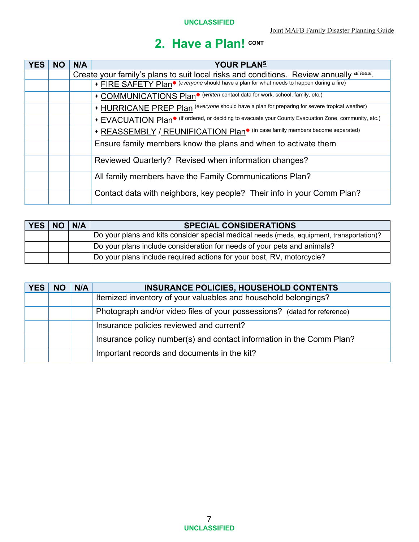| <b>YES</b> | <b>NO</b> | N/A | <b>YOUR PLANS</b>                                                                                                 |  |  |
|------------|-----------|-----|-------------------------------------------------------------------------------------------------------------------|--|--|
|            |           |     | Create your family's plans to suit local risks and conditions. Review annually at least.                          |  |  |
|            |           |     | • FIRE SAFETY Plan <sup>•</sup> (everyone should have a plan for what needs to happen during a fire)              |  |  |
|            |           |     | • COMMUNICATIONS Plan <sup>•</sup> (written contact data for work, school, family, etc.)                          |  |  |
|            |           |     | • HURRICANE PREP Plan (everyone should have a plan for preparing for severe tropical weather)                     |  |  |
|            |           |     | • EVACUATION Plan <sup>•</sup> (if ordered, or deciding to evacuate your County Evacuation Zone, community, etc.) |  |  |
|            |           |     | • REASSEMBLY / REUNIFICATION Plan <sup>•</sup> (in case family members become separated)                          |  |  |
|            |           |     | Ensure family members know the plans and when to activate them                                                    |  |  |
|            |           |     | Reviewed Quarterly? Revised when information changes?                                                             |  |  |
|            |           |     | All family members have the Family Communications Plan?                                                           |  |  |
|            |           |     | Contact data with neighbors, key people? Their info in your Comm Plan?                                            |  |  |

| <b>YES</b> | <b>NO</b> | N/A | <b>SPECIAL CONSIDERATIONS</b>                                                            |  |
|------------|-----------|-----|------------------------------------------------------------------------------------------|--|
|            |           |     | Do your plans and kits consider special medical needs (meds, equipment, transportation)? |  |
|            |           |     | Do your plans include consideration for needs of your pets and animals?                  |  |
|            |           |     | Do your plans include required actions for your boat, RV, motorcycle?                    |  |

| <b>YES</b> | <b>NC</b> | N/A | <b>INSURANCE POLICIES, HOUSEHOLD CONTENTS</b>                            |  |
|------------|-----------|-----|--------------------------------------------------------------------------|--|
|            |           |     | Itemized inventory of your valuables and household belongings?           |  |
|            |           |     | Photograph and/or video files of your possessions? (dated for reference) |  |
|            |           |     | Insurance policies reviewed and current?                                 |  |
|            |           |     | Insurance policy number(s) and contact information in the Comm Plan?     |  |
|            |           |     | Important records and documents in the kit?                              |  |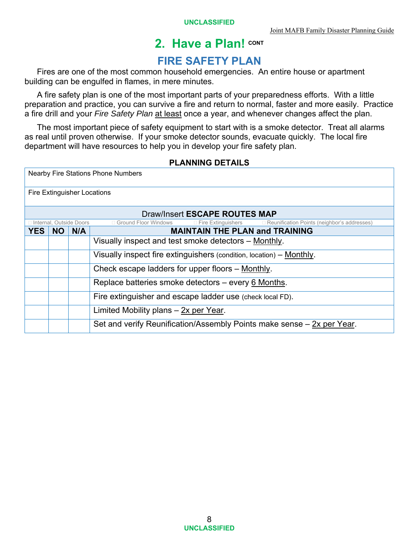# **FIRE SAFETY PLAN**

 Fires are one of the most common household emergencies. An entire house or apartment building can be engulfed in flames, in mere minutes.

 A fire safety plan is one of the most important parts of your preparedness efforts. With a little preparation and practice, you can survive a fire and return to normal, faster and more easily. Practice a fire drill and your *Fire Safety Plan* at least once a year, and whenever changes affect the plan.

 The most important piece of safety equipment to start with is a smoke detector. Treat all alarms as real until proven otherwise. If your smoke detector sounds, evacuate quickly. The local fire department will have resources to help you in develop your fire safety plan.

#### **PLANNING DETAILS**

|            | <b>Nearby Fire Stations Phone Numbers</b>           |                           |                                                                                              |  |  |  |  |
|------------|-----------------------------------------------------|---------------------------|----------------------------------------------------------------------------------------------|--|--|--|--|
|            | Fire Extinguisher Locations                         |                           |                                                                                              |  |  |  |  |
|            |                                                     |                           | Draw/Insert ESCAPE ROUTES MAP                                                                |  |  |  |  |
|            |                                                     | □ Internal, Outside Doors | □ Ground Floor Windows<br>□ Fire Extinguishers □ Reunification Points (neighbor's addresses) |  |  |  |  |
| <b>YES</b> | <b>NO</b>                                           | N/A                       | <b>MAINTAIN THE PLAN and TRAINING</b>                                                        |  |  |  |  |
|            |                                                     |                           | Visually inspect and test smoke detectors - Monthly.                                         |  |  |  |  |
|            |                                                     |                           | Visually inspect fire extinguishers (condition, location) – Monthly.                         |  |  |  |  |
|            |                                                     |                           | Check escape ladders for upper floors - Monthly.                                             |  |  |  |  |
|            | Replace batteries smoke detectors - every 6 Months. |                           |                                                                                              |  |  |  |  |
|            |                                                     |                           | Fire extinguisher and escape ladder use (check local FD).                                    |  |  |  |  |
|            | Limited Mobility plans $-$ 2x per Year.             |                           |                                                                                              |  |  |  |  |
|            |                                                     |                           | Set and verify Reunification/Assembly Points make sense – 2x per Year.                       |  |  |  |  |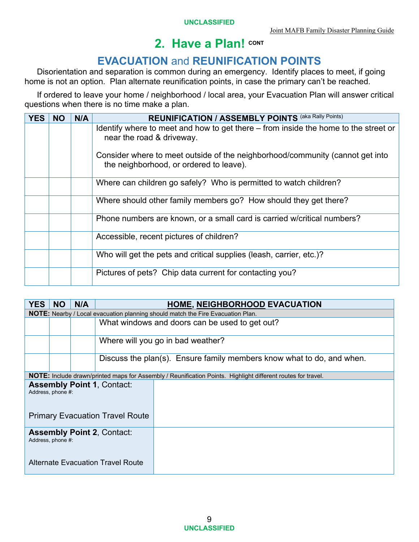# **EVACUATION** and **REUNIFICATION POINTS**

 Disorientation and separation is common during an emergency. Identify places to meet, if going home is not an option. Plan alternate reunification points, in case the primary can't be reached.

 If ordered to leave your home / neighborhood / local area, your Evacuation Plan will answer critical questions when there is no time make a plan.

| <b>YES</b> | <b>NO</b> | N/A | <b>REUNIFICATION / ASSEMBLY POINTS (aka Rally Points)</b>                                                                |  |  |
|------------|-----------|-----|--------------------------------------------------------------------------------------------------------------------------|--|--|
|            |           |     | Identify where to meet and how to get there – from inside the home to the street or<br>near the road & driveway.         |  |  |
|            |           |     | Consider where to meet outside of the neighborhood/community (cannot get into<br>the neighborhood, or ordered to leave). |  |  |
|            |           |     | Where can children go safely? Who is permitted to watch children?                                                        |  |  |
|            |           |     | Where should other family members go? How should they get there?                                                         |  |  |
|            |           |     | Phone numbers are known, or a small card is carried w/critical numbers?                                                  |  |  |
|            |           |     | Accessible, recent pictures of children?                                                                                 |  |  |
|            |           |     | Who will get the pets and critical supplies (leash, carrier, etc.)?                                                      |  |  |
|            |           |     | Pictures of pets? Chip data current for contacting you?                                                                  |  |  |

| <b>YES</b>                                             | <b>NO</b>                                                                                        | N/A |  | <b>HOME, NEIGHBORHOOD EVACUATION</b>                                                                                |  |  |
|--------------------------------------------------------|--------------------------------------------------------------------------------------------------|-----|--|---------------------------------------------------------------------------------------------------------------------|--|--|
|                                                        | <b>NOTE:</b> Nearby / Local evacuation planning should match the Fire Evacuation Plan.           |     |  |                                                                                                                     |  |  |
|                                                        |                                                                                                  |     |  | What windows and doors can be used to get out?                                                                      |  |  |
|                                                        |                                                                                                  |     |  | Where will you go in bad weather?                                                                                   |  |  |
|                                                        |                                                                                                  |     |  | Discuss the plan(s). Ensure family members know what to do, and when.                                               |  |  |
|                                                        |                                                                                                  |     |  | <b>NOTE:</b> Include drawn/printed maps for Assembly / Reunification Points. Highlight different routes for travel. |  |  |
|                                                        | <b>Assembly Point 1, Contact:</b><br>Address, phone #:<br><b>Primary Evacuation Travel Route</b> |     |  |                                                                                                                     |  |  |
| <b>Assembly Point 2, Contact:</b><br>Address, phone #: |                                                                                                  |     |  |                                                                                                                     |  |  |
| Alternate Evacuation Travel Route                      |                                                                                                  |     |  |                                                                                                                     |  |  |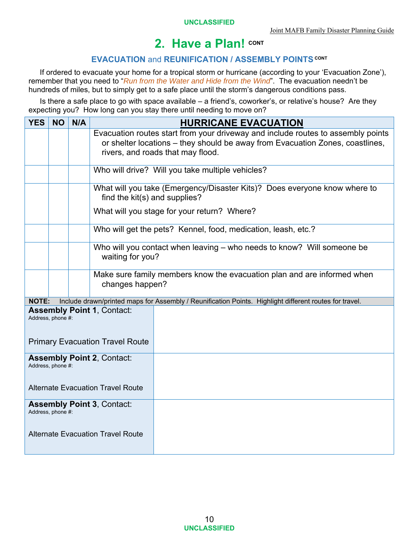#### **EVACUATION** and **REUNIFICATION / ASSEMBLY POINTS CONT**

If ordered to evacuate your home for a tropical storm or hurricane (according to your 'Evacuation Zone'), remember that you need to "*Run from the Water and Hide from the Wind*". The evacuation needn't be hundreds of miles, but to simply get to a safe place until the storm's dangerous conditions pass.

Is there a safe place to go with space available – a friend's, coworker's, or relative's house? Are they expecting you? How long can you stay there until needing to move on?

| <b>YES</b>                                                                                         | <b>NO</b> | N/A |                                                                                            | <b>HURRICANE EVACUATION</b>                                                                                                                                       |  |  |  |
|----------------------------------------------------------------------------------------------------|-----------|-----|--------------------------------------------------------------------------------------------|-------------------------------------------------------------------------------------------------------------------------------------------------------------------|--|--|--|
|                                                                                                    |           |     | rivers, and roads that may flood.                                                          | Evacuation routes start from your driveway and include routes to assembly points<br>or shelter locations – they should be away from Evacuation Zones, coastlines, |  |  |  |
|                                                                                                    |           |     |                                                                                            | Who will drive? Will you take multiple vehicles?                                                                                                                  |  |  |  |
|                                                                                                    |           |     |                                                                                            | What will you take (Emergency/Disaster Kits)? Does everyone know where to<br>find the kit(s) and supplies?                                                        |  |  |  |
|                                                                                                    |           |     |                                                                                            | What will you stage for your return? Where?                                                                                                                       |  |  |  |
|                                                                                                    |           |     |                                                                                            | Who will get the pets? Kennel, food, medication, leash, etc.?                                                                                                     |  |  |  |
|                                                                                                    |           |     | waiting for you?                                                                           | Who will you contact when leaving - who needs to know? Will someone be                                                                                            |  |  |  |
|                                                                                                    |           |     | Make sure family members know the evacuation plan and are informed when<br>changes happen? |                                                                                                                                                                   |  |  |  |
| <b>NOTE:</b>                                                                                       |           |     |                                                                                            | Include drawn/printed maps for Assembly / Reunification Points. Highlight different routes for travel.                                                            |  |  |  |
| <b>Assembly Point 1, Contact:</b><br>Address, phone #:<br><b>Primary Evacuation Travel Route</b>   |           |     |                                                                                            |                                                                                                                                                                   |  |  |  |
| <b>Assembly Point 2, Contact:</b><br>Address, phone #:<br><b>Alternate Evacuation Travel Route</b> |           |     |                                                                                            |                                                                                                                                                                   |  |  |  |
|                                                                                                    |           |     |                                                                                            |                                                                                                                                                                   |  |  |  |
| <b>Assembly Point 3, Contact:</b><br>Address, phone #:                                             |           |     |                                                                                            |                                                                                                                                                                   |  |  |  |
| <b>Alternate Evacuation Travel Route</b>                                                           |           |     |                                                                                            |                                                                                                                                                                   |  |  |  |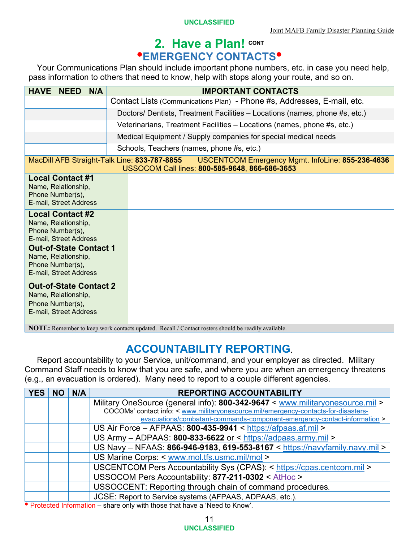# **2. Have a Plan! CONT EMERGENCY CONTACTS**

Your Communications Plan should include important phone numbers, etc. in case you need help, pass information to others that need to know, help with stops along your route, and so on.

| <b>HAVE</b>                                                                                                                              | <b>NEED</b> | N/A | <b>IMPORTANT CONTACTS</b>                                                                                                                          |
|------------------------------------------------------------------------------------------------------------------------------------------|-------------|-----|----------------------------------------------------------------------------------------------------------------------------------------------------|
|                                                                                                                                          |             |     | Contact Lists (Communications Plan) - Phone #s, Addresses, E-mail, etc.                                                                            |
|                                                                                                                                          |             |     | Doctors/ Dentists, Treatment Facilities - Locations (names, phone #s, etc.)                                                                        |
|                                                                                                                                          |             |     | Veterinarians, Treatment Facilities - Locations (names, phone #s, etc.)                                                                            |
|                                                                                                                                          |             |     | Medical Equipment / Supply companies for special medical needs                                                                                     |
|                                                                                                                                          |             |     | Schools, Teachers (names, phone #s, etc.)                                                                                                          |
|                                                                                                                                          |             |     | MacDill AFB Straight-Talk Line: 833-787-8855<br>USCENTCOM Emergency Mgmt. InfoLine: 855-236-4636<br>USSOCOM Call lines: 800-585-9648, 866-686-3653 |
| <b>Local Contact #1</b><br>Name, Relationship,<br>Phone Number(s),<br>E-mail, Street Address                                             |             |     |                                                                                                                                                    |
| <b>Local Contact #2</b><br>Name, Relationship,<br>Phone Number(s),<br>E-mail, Street Address                                             |             |     |                                                                                                                                                    |
| <b>Out-of-State Contact 1</b><br>Name, Relationship,<br>Phone Number(s),<br>E-mail, Street Address                                       |             |     |                                                                                                                                                    |
| <b>Out-of-State Contact 2</b><br>Name, Relationship,<br>Phone Number(s),<br>E-mail, Street Address<br>MDTE.<br>$\mathbf{1}$ $\mathbf{1}$ |             |     | $\sim$ 1.000 $\sim$<br>$1 + 1$ p $11/a + 1$ $111$<br>1.1<br>111                                                                                    |

**NOTE:** Remember to keep work contacts updated. Recall / Contact rosters should be readily available.

### **ACCOUNTABILITY REPORTING**.

Report accountability to your Service, unit/command, and your employer as directed. Military Command Staff needs to know that you are safe, and where you are when an emergency threatens (e.g., an evacuation is ordered). Many need to report to a couple different agencies.

| <b>YES</b> | N/A | <b>REPORTING ACCOUNTABILITY</b>                                                     |
|------------|-----|-------------------------------------------------------------------------------------|
|            |     | Military OneSource (general info): 800-342-9647 < www.militaryonesource.mil >       |
|            |     | COCOMs' contact info: < www.militaryonesource.mil/emergency-contacts-for-disasters- |
|            |     | evacuations/combatant-commands-component-emergency-contact-information >            |
|            |     | US Air Force - AFPAAS: 800-435-9941 < https://afpaas.af.mil >                       |
|            |     | US Army - ADPAAS: 800-833-6622 or < https://adpaas.army.mil >                       |
|            |     | US Navy - NFAAS: 866-946-9183, 619-553-8167 < https://navyfamily.navy.mil >         |
|            |     | US Marine Corps: < www.mol.tfs.usmc.mil/mol >                                       |
|            |     | USCENTCOM Pers Accountability Sys (CPAS): < https://cpas.centcom.mil >              |
|            |     | USSOCOM Pers Accountability: 877-211-0302 < AtHoc >                                 |
|            |     | USSOCCENT: Reporting through chain of command procedures.                           |
|            |     | JCSE: Report to Service systems (AFPAAS, ADPAAS, etc.).                             |

Protected Information – share only with those that have a 'Need to Know'.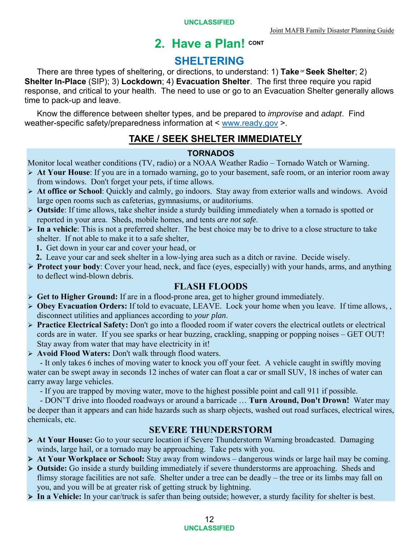### **SHELTERING**

There are three types of sheltering, or directions, to understand: 1) Take <sup>or</sup> Seek Shelter; 2) **Shelter In-Place** (SIP); 3) **Lockdown**; 4) **Evacuation Shelter**. The first three require you rapid response, and critical to your health. The need to use or go to an Evacuation Shelter generally allows time to pack-up and leave.

Know the difference between shelter types, and be prepared to *improvise* and *adapt*. Find weather-specific safety/preparedness information at < www.ready.gov >.

#### **TAKE / SEEK SHELTER IMMEDIATELY**

#### **TORNADOS**

Monitor local weather conditions (TV, radio) or a NOAA Weather Radio – Tornado Watch or Warning.

- **At Your House**: If you are in a tornado warning, go to your basement, safe room, or an interior room away from windows. Don't forget your pets, if time allows.
- **At office or School**: Quickly and calmly, go indoors. Stay away from exterior walls and windows. Avoid large open rooms such as cafeterias, gymnasiums, or auditoriums.
- **Outside**: If time allows, take shelter inside a sturdy building immediately when a tornado is spotted or reported in your area. Sheds, mobile homes, and tents *are not safe*.
- **In a vehicle**: This is not a preferred shelter. The best choice may be to drive to a close structure to take shelter. If not able to make it to a safe shelter,
	- **1.** Get down in your car and cover your head, or
- **2.** Leave your car and seek shelter in a low-lying area such as a ditch or ravine. Decide wisely.
- **Protect your body**: Cover your head, neck, and face (eyes, especially) with your hands, arms, and anything to deflect wind-blown debris.

#### **FLASH FLOODS**

- **Get to Higher Ground:** If are in a flood-prone area, get to higher ground immediately.
- **Obey Evacuation Orders:** If told to evacuate, LEAVE. Lock your home when you leave. If time allows, , disconnect utilities and appliances according to *your plan*.
- **Practice Electrical Safety:** Don't go into a flooded room if water covers the electrical outlets or electrical cords are in water. If you see sparks or hear buzzing, crackling, snapping or popping noises – GET OUT! Stay away from water that may have electricity in it!
- **Avoid Flood Waters:** Don't walk through flood waters.

 - It only takes 6 inches of moving water to knock you off your feet. A vehicle caught in swiftly moving water can be swept away in seconds 12 inches of water can float a car or small SUV, 18 inches of water can carry away large vehicles.

- If you are trapped by moving water, move to the highest possible point and call 911 if possible.

 - DON'T drive into flooded roadways or around a barricade … **Turn Around, Don't Drown!** Water may be deeper than it appears and can hide hazards such as sharp objects, washed out road surfaces, electrical wires, chemicals, etc.

#### **SEVERE THUNDERSTORM**

- **At Your House:** Go to your secure location if Severe Thunderstorm Warning broadcasted. Damaging winds, large hail, or a tornado may be approaching. Take pets with you.
- **At Your Workplace or School:** Stay away from windows dangerous winds or large hail may be coming.
- **Outside:** Go inside a sturdy building immediately if severe thunderstorms are approaching. Sheds and flimsy storage facilities are not safe. Shelter under a tree can be deadly – the tree or its limbs may fall on you, and you will be at greater risk of getting struck by lightning.
- **In a Vehicle:** In your car/truck is safer than being outside; however, a sturdy facility for shelter is best.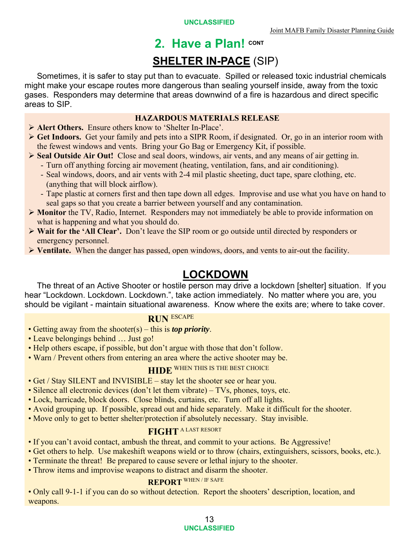# **2. Have a Plan! CONT SHELTER IN-PACE** (SIP)

Sometimes, it is safer to stay put than to evacuate. Spilled or released toxic industrial chemicals might make your escape routes more dangerous than sealing yourself inside, away from the toxic gases. Responders may determine that areas downwind of a fire is hazardous and direct specific areas to SIP.

#### **HAZARDOUS MATERIALS RELEASE**

- **Alert Others.** Ensure others know to 'Shelter In-Place'.
- **Get Indoors.** Get your family and pets into a SIPR Room, if designated. Or, go in an interior room with the fewest windows and vents. Bring your Go Bag or Emergency Kit, if possible.
- **Seal Outside Air Out!** Close and seal doors, windows, air vents, and any means of air getting in.
	- Turn off anything forcing air movement (heating, ventilation, fans, and air conditioning).
	- Seal windows, doors, and air vents with 2-4 mil plastic sheeting, duct tape, spare clothing, etc. (anything that will block airflow).
	- Tape plastic at corners first and then tape down all edges. Improvise and use what you have on hand to seal gaps so that you create a barrier between yourself and any contamination.
- **Monitor** the TV, Radio, Internet. Responders may not immediately be able to provide information on what is happening and what you should do.
- **Wait for the 'All Clear'.** Don't leave the SIP room or go outside until directed by responders or emergency personnel.
- **Ventilate.** When the danger has passed, open windows, doors, and vents to air-out the facility.

# **LOCKDOWN**

The threat of an Active Shooter or hostile person may drive a lockdown [shelter] situation. If you hear "Lockdown. Lockdown. Lockdown.", take action immediately. No matter where you are, you should be vigilant - maintain situational awareness. Know where the exits are; where to take cover.

#### **RUN** ESCAPE

- Getting away from the shooter(s) this is *top priority*.
- Leave belongings behind … Just go!
- Help others escape, if possible, but don't argue with those that don't follow.
- Warn / Prevent others from entering an area where the active shooter may be.

### **HIDE** WHEN THIS IS THE BEST CHOICE

- Get / Stay SILENT and INVISIBLE stay let the shooter see or hear you.
- Silence all electronic devices (don't let them vibrate) TVs, phones, toys, etc.
- Lock, barricade, block doors. Close blinds, curtains, etc. Turn off all lights.
- Avoid grouping up. If possible, spread out and hide separately. Make it difficult for the shooter.
- Move only to get to better shelter/protection if absolutely necessary. Stay invisible.

#### **FIGHT** A LAST RESORT

- If you can't avoid contact, ambush the threat, and commit to your actions. Be Aggressive!
- Get others to help. Use makeshift weapons wield or to throw (chairs, extinguishers, scissors, books, etc.).
- Terminate the threat! Be prepared to cause severe or lethal injury to the shooter.
- Throw items and improvise weapons to distract and disarm the shooter.

### **REPORT** WHEN / IF SAFE

• Only call 9-1-1 if you can do so without detection. Report the shooters' description, location, and weapons.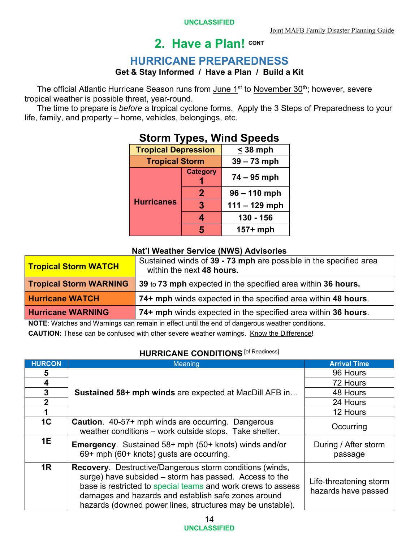### **HURRICANE PREPAREDNESS**

#### **Get & Stay Informed / Have a Plan / Build a Kit**

The official Atlantic Hurricane Season runs from June 1<sup>st</sup> to November 30<sup>th</sup>; however, severe tropical weather is possible threat, year-round.

The time to prepare is *before* a tropical cyclone forms. Apply the 3 Steps of Preparedness to your life, family, and property – home, vehicles, belongings, etc.

| <b></b>                    |                 |                 |  |  |
|----------------------------|-----------------|-----------------|--|--|
| <b>Tropical Depression</b> |                 | $<$ 38 mph      |  |  |
| <b>Tropical Storm</b>      |                 | $39 - 73$ mph   |  |  |
|                            | <b>Category</b> | $74 - 95$ mph   |  |  |
|                            | 2               | $96 - 110$ mph  |  |  |
| <b>Hurricanes</b>          | $\mathbf{3}$    | $111 - 129$ mph |  |  |
|                            | 4               | 130 - 156       |  |  |
|                            | 5               | $157+mph$       |  |  |

# **Storm Types, Wind Speeds**

#### **Nat'l Weather Service (NWS) Advisories**

| <b>Tropical Storm WATCH</b>   | Sustained winds of 39 - 73 mph are possible in the specified area<br>within the next 48 hours. |
|-------------------------------|------------------------------------------------------------------------------------------------|
| <b>Tropical Storm WARNING</b> | 39 to 73 mph expected in the specified area within 36 hours.                                   |
| <b>Hurricane WATCH</b>        | 74+ mph winds expected in the specified area within 48 hours.                                  |
| <b>Hurricane WARNING</b>      | 74+ mph winds expected in the specified area within 36 hours.                                  |

**NOTE**: Watches and Warnings can remain in effect until the end of dangerous weather conditions.

**CAUTION:** These can be confused with other severe weather warnings. Know the Difference!

#### **HURRICANE CONDITIONS** [of Readiness]

| <b>HURCON</b>  | Meaning                                                                                                                                                                                                                                                                                                       | <b>Arrival Time</b>                           |
|----------------|---------------------------------------------------------------------------------------------------------------------------------------------------------------------------------------------------------------------------------------------------------------------------------------------------------------|-----------------------------------------------|
| 5              |                                                                                                                                                                                                                                                                                                               | 96 Hours                                      |
| 4              |                                                                                                                                                                                                                                                                                                               | 72 Hours                                      |
| 3              | Sustained 58+ mph winds are expected at MacDill AFB in                                                                                                                                                                                                                                                        | 48 Hours                                      |
| $\overline{2}$ |                                                                                                                                                                                                                                                                                                               | 24 Hours                                      |
| 1              |                                                                                                                                                                                                                                                                                                               | 12 Hours                                      |
| 1 <sup>C</sup> | <b>Caution</b> . 40-57+ mph winds are occurring. Dangerous<br>weather conditions - work outside stops. Take shelter.                                                                                                                                                                                          | Occurring                                     |
| 1E             | <b>Emergency.</b> Sustained 58+ mph (50+ knots) winds and/or<br>69+ mph (60+ knots) gusts are occurring.                                                                                                                                                                                                      | During / After storm<br>passage               |
| 1R             | <b>Recovery.</b> Destructive/Dangerous storm conditions (winds,<br>surge) have subsided - storm has passed. Access to the<br>base is restricted to special teams and work crews to assess<br>damages and hazards and establish safe zones around<br>hazards (downed power lines, structures may be unstable). | Life-threatening storm<br>hazards have passed |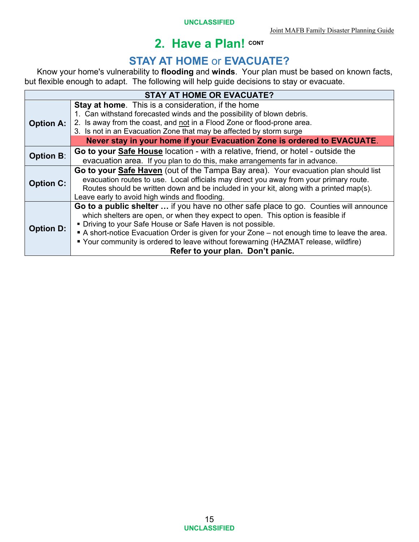# **STAY AT HOME or EVACUATE?**

Know your home's vulnerability to **flooding** and **winds**. Your plan must be based on known facts, but flexible enough to adapt. The following will help guide decisions to stay or evacuate.

| <b>STAY AT HOME OR EVACUATE?</b> |                                                                                                                                                                                                                                                                                                                                                                                                                                                                    |  |
|----------------------------------|--------------------------------------------------------------------------------------------------------------------------------------------------------------------------------------------------------------------------------------------------------------------------------------------------------------------------------------------------------------------------------------------------------------------------------------------------------------------|--|
| <b>Option A:</b>                 | <b>Stay at home.</b> This is a consideration, if the home<br>1. Can withstand forecasted winds and the possibility of blown debris.<br>2. Is away from the coast, and not in a Flood Zone or flood-prone area.<br>3. Is not in an Evacuation Zone that may be affected by storm surge<br>Never stay in your home if your Evacuation Zone is ordered to EVACUATE.                                                                                                   |  |
| <b>Option B:</b>                 | Go to your Safe House location - with a relative, friend, or hotel - outside the<br>evacuation area. If you plan to do this, make arrangements far in advance.                                                                                                                                                                                                                                                                                                     |  |
| <b>Option C:</b>                 | Go to your Safe Haven (out of the Tampa Bay area). Your evacuation plan should list<br>evacuation routes to use. Local officials may direct you away from your primary route.<br>Routes should be written down and be included in your kit, along with a printed map(s).<br>Leave early to avoid high winds and flooding.                                                                                                                                          |  |
| <b>Option D:</b>                 | Go to a public shelter  if you have no other safe place to go. Counties will announce<br>which shelters are open, or when they expect to open. This option is feasible if<br>• Driving to your Safe House or Safe Haven is not possible.<br>A short-notice Evacuation Order is given for your Zone – not enough time to leave the area.<br>■ Your community is ordered to leave without forewarning (HAZMAT release, wildfire)<br>Refer to your plan. Don't panic. |  |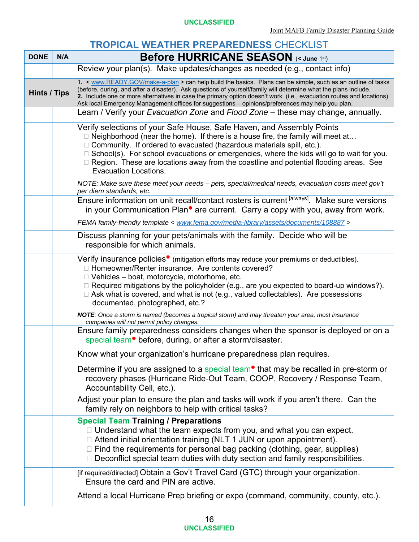#### **TROPICAL WEATHER PREPAREDNESS** CHECKLIST

| <b>DONE</b>         | N/A | <b>Before HURRICANE SEASON (&lt; June 1st)</b>                                                                                                                                                                                                                                                                                                                                                                                                                                                                                                  |
|---------------------|-----|-------------------------------------------------------------------------------------------------------------------------------------------------------------------------------------------------------------------------------------------------------------------------------------------------------------------------------------------------------------------------------------------------------------------------------------------------------------------------------------------------------------------------------------------------|
|                     |     | Review your plan(s). Make updates/changes as needed (e.g., contact info)                                                                                                                                                                                                                                                                                                                                                                                                                                                                        |
| <b>Hints / Tips</b> |     | 1. < www.READY.GOV/make-a-plan > can help build the basics. Plans can be simple, such as an outline of tasks<br>(before, during, and after a disaster). Ask questions of yourself/family will determine what the plans include.<br>2. Include one or more alternatives in case the primary option doesn't work (i.e., evacuation routes and locations).<br>Ask local Emergency Management offices for suggestions - opinions/preferences may help you plan.<br>Learn / Verify your Evacuation Zone and Flood Zone - these may change, annually. |
|                     |     | Verify selections of your Safe House, Safe Haven, and Assembly Points<br>□ Neighborhood (near the home). If there is a house fire, the family will meet at<br>$\Box$ Community. If ordered to evacuated (hazardous materials spill, etc.).<br>$\Box$ School(s). For school evacuations or emergencies, where the kids will go to wait for you.<br>□ Region. These are locations away from the coastline and potential flooding areas. See<br><b>Evacuation Locations.</b>                                                                       |
|                     |     | NOTE: Make sure these meet your needs - pets, special/medical needs, evacuation costs meet gov't<br>per diem standards, etc.                                                                                                                                                                                                                                                                                                                                                                                                                    |
|                     |     | Ensure information on unit recall/contact rosters is current [always]. Make sure versions<br>in your Communication Plan <sup>•</sup> are current. Carry a copy with you, away from work.                                                                                                                                                                                                                                                                                                                                                        |
|                     |     | FEMA family-friendly template < www.fema.gov/media-library/assets/documents/108887 >                                                                                                                                                                                                                                                                                                                                                                                                                                                            |
|                     |     | Discuss planning for your pets/animals with the family. Decide who will be<br>responsible for which animals.                                                                                                                                                                                                                                                                                                                                                                                                                                    |
|                     |     | Verify insurance policies <sup>•</sup> (mitigation efforts may reduce your premiums or deductibles).<br>□ Homeowner/Renter insurance. Are contents covered?<br>$\Box$ Vehicles – boat, motorcycle, motorhome, etc.<br>$\Box$ Required mitigations by the policyholder (e.g., are you expected to board-up windows?).<br>$\Box$ Ask what is covered, and what is not (e.g., valued collectables). Are possessions<br>documented, photographed, etc.?                                                                                             |
|                     |     | NOTE: Once a storm is named (becomes a tropical storm) and may threaten your area, most insurance<br>companies will not permit policy changes.                                                                                                                                                                                                                                                                                                                                                                                                  |
|                     |     | Ensure family preparedness considers changes when the sponsor is deployed or on a<br>special team <sup>•</sup> before, during, or after a storm/disaster.                                                                                                                                                                                                                                                                                                                                                                                       |
|                     |     | Know what your organization's hurricane preparedness plan requires.                                                                                                                                                                                                                                                                                                                                                                                                                                                                             |
|                     |     | Determine if you are assigned to a special team <sup>o</sup> that may be recalled in pre-storm or<br>recovery phases (Hurricane Ride-Out Team, COOP, Recovery / Response Team,<br>Accountability Cell, etc.).                                                                                                                                                                                                                                                                                                                                   |
|                     |     | Adjust your plan to ensure the plan and tasks will work if you aren't there. Can the<br>family rely on neighbors to help with critical tasks?                                                                                                                                                                                                                                                                                                                                                                                                   |
|                     |     | <b>Special Team Training / Preparations</b><br>$\Box$ Understand what the team expects from you, and what you can expect.<br>□ Attend initial orientation training (NLT 1 JUN or upon appointment).<br>$\Box$ Find the requirements for personal bag packing (clothing, gear, supplies)<br>$\Box$ Deconflict special team duties with duty section and family responsibilities.                                                                                                                                                                 |
|                     |     | [if required/directed] Obtain a Gov't Travel Card (GTC) through your organization.<br>Ensure the card and PIN are active.                                                                                                                                                                                                                                                                                                                                                                                                                       |
|                     |     | Attend a local Hurricane Prep briefing or expo (command, community, county, etc.).                                                                                                                                                                                                                                                                                                                                                                                                                                                              |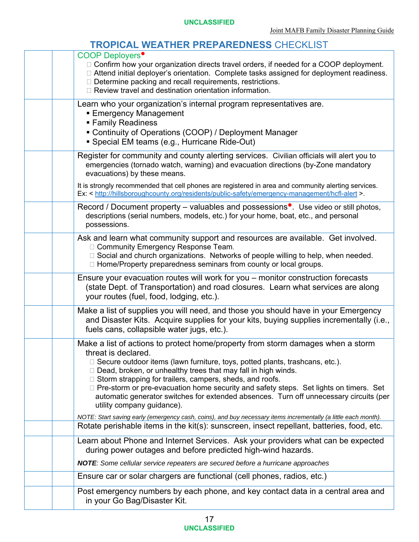#### **TROPICAL WEATHER PREPAREDNESS CHECKLIST**

| <b>COOP Deployers</b> <sup>•</sup><br>$\Box$ Confirm how your organization directs travel orders, if needed for a COOP deployment.<br>□ Attend initial deployer's orientation. Complete tasks assigned for deployment readiness.<br>$\Box$ Determine packing and recall requirements, restrictions.<br>$\Box$ Review travel and destination orientation information.                                                                                                                                                                                        |
|-------------------------------------------------------------------------------------------------------------------------------------------------------------------------------------------------------------------------------------------------------------------------------------------------------------------------------------------------------------------------------------------------------------------------------------------------------------------------------------------------------------------------------------------------------------|
| Learn who your organization's internal program representatives are.<br>■ Emergency Management<br>■ Family Readiness<br>Continuity of Operations (COOP) / Deployment Manager<br>• Special EM teams (e.g., Hurricane Ride-Out)                                                                                                                                                                                                                                                                                                                                |
| Register for community and county alerting services. Civilian officials will alert you to<br>emergencies (tornado watch, warning) and evacuation directions (by-Zone mandatory<br>evacuations) by these means.<br>It is strongly recommended that cell phones are registered in area and community alerting services.<br>Ex: < http://hillsboroughcounty.org/residents/public-safety/emergency-management/hcfl-alert >.                                                                                                                                     |
| Record / Document property – valuables and possessions <sup><math>\bullet</math></sup> . Use video or still photos,<br>descriptions (serial numbers, models, etc.) for your home, boat, etc., and personal<br>possessions.                                                                                                                                                                                                                                                                                                                                  |
| Ask and learn what community support and resources are available. Get involved.<br>□ Community Emergency Response Team.<br>□ Social and church organizations. Networks of people willing to help, when needed.<br>□ Home/Property preparedness seminars from county or local groups.                                                                                                                                                                                                                                                                        |
| Ensure your evacuation routes will work for you – monitor construction forecasts<br>(state Dept. of Transportation) and road closures. Learn what services are along<br>your routes (fuel, food, lodging, etc.).                                                                                                                                                                                                                                                                                                                                            |
| Make a list of supplies you will need, and those you should have in your Emergency<br>and Disaster Kits. Acquire supplies for your kits, buying supplies incrementally (i.e.,<br>fuels cans, collapsible water jugs, etc.).                                                                                                                                                                                                                                                                                                                                 |
| Make a list of actions to protect home/property from storm damages when a storm<br>threat is declared.<br>$\Box$ Secure outdoor items (lawn furniture, toys, potted plants, trashcans, etc.).<br>$\Box$ Dead, broken, or unhealthy trees that may fall in high winds.<br>$\Box$ Storm strapping for trailers, campers, sheds, and roofs.<br>□ Pre-storm or pre-evacuation home security and safety steps. Set lights on timers. Set<br>automatic generator switches for extended absences. Turn off unnecessary circuits (per<br>utility company guidance). |
| NOTE: Start saving early (emergency cash, coins), and buy necessary items incrementally (a little each month).<br>Rotate perishable items in the kit(s): sunscreen, insect repellant, batteries, food, etc.                                                                                                                                                                                                                                                                                                                                                 |
| Learn about Phone and Internet Services. Ask your providers what can be expected<br>during power outages and before predicted high-wind hazards.                                                                                                                                                                                                                                                                                                                                                                                                            |
| NOTE: Some cellular service repeaters are secured before a hurricane approaches<br>Ensure car or solar chargers are functional (cell phones, radios, etc.)                                                                                                                                                                                                                                                                                                                                                                                                  |
| Post emergency numbers by each phone, and key contact data in a central area and<br>in your Go Bag/Disaster Kit.                                                                                                                                                                                                                                                                                                                                                                                                                                            |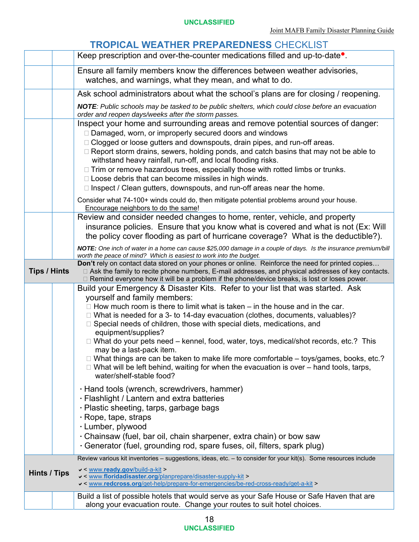#### **TROPICAL WEATHER PREPAREDNESS** CHECKLIST Keep prescription and over-the-counter medications filled and up-to-date<sup>•</sup>. Ensure all family members know the differences between weather advisories, watches, and warnings, what they mean, and what to do. Ask school administrators about what the school's plans are for closing / reopening. *NOTE: Public schools may be tasked to be public shelters, which could close before an evacuation order and reopen days/weeks after the storm passes.* Inspect your home and surrounding areas and remove potential sources of danger: □ Damaged, worn, or improperly secured doors and windows □ Clogged or loose gutters and downspouts, drain pipes, and run-off areas.  $\Box$  Report storm drains, sewers, holding ponds, and catch basins that may not be able to withstand heavy rainfall, run-off, and local flooding risks.  $\Box$  Trim or remove hazardous trees, especially those with rotted limbs or trunks.  $\Box$  Loose debris that can become missiles in high winds.  $\Box$  Inspect / Clean gutters, downspouts, and run-off areas near the home. Consider what 74-100+ winds could do, then mitigate potential problems around your house. Encourage neighbors to do the same! Review and consider needed changes to home, renter, vehicle, and property insurance policies. Ensure that you know what is covered and what is not (Ex: Will the policy cover flooding as part of hurricane coverage? What is the deductible?). *NOTE: One inch of water in a home can cause \$25,000 damage in a couple of days. Is the insurance premium/bill worth the peace of mind? Which is easiest to work into the budget.*  **Tips / Hints Don't** rely on contact data stored on your phones or online. Reinforce the need for printed copies… □ Ask the family to recite phone numbers, E-mail addresses, and physical addresses of key contacts. □ Remind everyone how it will be a problem if the phone/device breaks, is lost or loses power. Build your Emergency & Disaster Kits. Refer to your list that was started. Ask yourself and family members:  $\Box$  How much room is there to limit what is taken – in the house and in the car.  $\Box$  What is needed for a 3- to 14-day evacuation (clothes, documents, valuables)?  $\Box$  Special needs of children, those with special diets, medications, and equipment/supplies?  $\Box$  What do your pets need – kennel, food, water, toys, medical/shot records, etc.? This may be a last-pack item.  $\Box$  What things are can be taken to make life more comfortable – toys/games, books, etc.?  $\Box$  What will be left behind, waiting for when the evacuation is over – hand tools, tarps, water/shelf-stable food? Hand tools (wrench, screwdrivers, hammer) Flashlight / Lantern and extra batteries Plastic sheeting, tarps, garbage bags Rope, tape, straps Lumber, plywood Chainsaw (fuel, bar oil, chain sharpener, extra chain) or bow saw Generator (fuel, grounding rod, spare fuses, oil, filters, spark plug) **Hints / Tips**  Review various kit inventories – suggestions, ideas, etc. – to consider for your kit(s). Some resources include < www.**ready.gov**/build-a-kit > < www.**floridadisaster.org**/planprepare/disaster-supply-kit > < www.**redcross.org**/get-help/prepare-for-emergencies/be-red-cross-ready/get-a-kit > Build a list of possible hotels that would serve as your Safe House or Safe Haven that are along your evacuation route. Change your routes to suit hotel choices.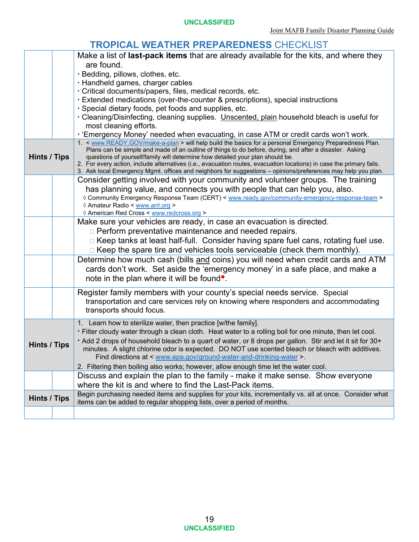#### **TROPICAL WEATHER PREPAREDNESS** CHECKLIST

|                     | Make a list of <b>last-pack items</b> that are already available for the kits, and where they                                                                                                                      |
|---------------------|--------------------------------------------------------------------------------------------------------------------------------------------------------------------------------------------------------------------|
|                     | are found.                                                                                                                                                                                                         |
|                     | · Bedding, pillows, clothes, etc.                                                                                                                                                                                  |
|                     | · Handheld games, charger cables                                                                                                                                                                                   |
|                     | · Critical documents/papers, files, medical records, etc.                                                                                                                                                          |
|                     | Extended medications (over-the-counter & prescriptions), special instructions                                                                                                                                      |
|                     | · Special dietary foods, pet foods and supplies, etc.                                                                                                                                                              |
|                     | · Cleaning/Disinfecting, cleaning supplies. Unscented, plain household bleach is useful for                                                                                                                        |
|                     | most cleaning efforts.                                                                                                                                                                                             |
|                     | · 'Emergency Money' needed when evacuating, in case ATM or credit cards won't work.                                                                                                                                |
|                     | 1. < www.READY.GOV/make-a-plan > will help build the basics for a personal Emergency Preparedness Plan.<br>Plans can be simple and made of an outline of things to do before, during, and after a disaster. Asking |
| Hints / Tips        | questions of yourself/family will determine how detailed your plan should be.                                                                                                                                      |
|                     | 2. For every action, include alternatives (i.e., evacuation routes, evacuation locations) in case the primary fails.                                                                                               |
|                     | 3. Ask local Emergency Mgmt. offices and neighbors for suggestions - opinions/preferences may help you plan.                                                                                                       |
|                     | Consider getting involved with your community and volunteer groups. The training                                                                                                                                   |
|                     | has planning value, and connects you with people that can help you, also.                                                                                                                                          |
|                     | ◊ Community Emergency Response Team (CERT) < www.ready.gov/community-emergency-response-team ><br>♦ Amateur Radio < www.arrl.org >                                                                                 |
|                     | ◊ American Red Cross < www.redcross.org >                                                                                                                                                                          |
|                     | Make sure your vehicles are ready, in case an evacuation is directed.                                                                                                                                              |
|                     | □ Perform preventative maintenance and needed repairs.                                                                                                                                                             |
|                     | □ Keep tanks at least half-full. Consider having spare fuel cans, rotating fuel use.                                                                                                                               |
|                     | □ Keep the spare tire and vehicles tools serviceable (check them monthly).                                                                                                                                         |
|                     | Determine how much cash (bills and coins) you will need when credit cards and ATM                                                                                                                                  |
|                     | cards don't work. Set aside the 'emergency money' in a safe place, and make a                                                                                                                                      |
|                     | note in the plan where it will be found.                                                                                                                                                                           |
|                     |                                                                                                                                                                                                                    |
|                     | Register family members with your county's special needs service. Special                                                                                                                                          |
|                     | transportation and care services rely on knowing where responders and accommodating                                                                                                                                |
|                     | transports should focus.                                                                                                                                                                                           |
|                     | 1. Learn how to sterilize water, then practice [w/the family].                                                                                                                                                     |
|                     | · Filter cloudy water through a clean cloth. Heat water to a rolling boil for one minute, then let cool.                                                                                                           |
| Hints / Tips        | • Add 2 drops of household bleach to a quart of water, or 8 drops per gallon. Stir and let it sit for 30+                                                                                                          |
|                     | minutes. A slight chlorine odor is expected. DO NOT use scented bleach or bleach with additives.                                                                                                                   |
|                     | Find directions at < www.epa.gov/ground-water-and-drinking-water >                                                                                                                                                 |
|                     | 2. Filtering then boiling also works; however, allow enough time let the water cool.                                                                                                                               |
|                     | Discuss and explain the plan to the family - make it make sense. Show everyone                                                                                                                                     |
|                     | where the kit is and where to find the Last-Pack items.                                                                                                                                                            |
| <b>Hints / Tips</b> | Begin purchasing needed items and supplies for your kits, incrementally vs. all at once. Consider what<br>items can be added to regular shopping lists, over a period of months.                                   |
|                     |                                                                                                                                                                                                                    |
|                     |                                                                                                                                                                                                                    |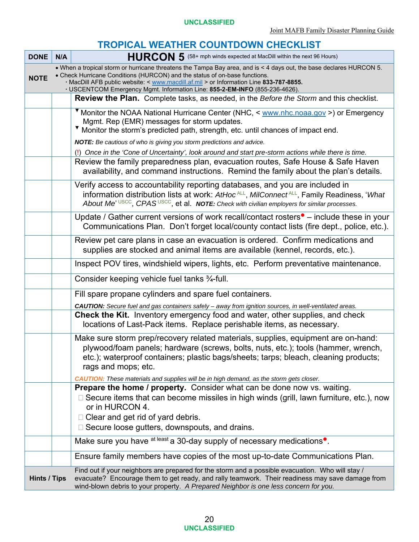#### **TROPICAL WEATHER COUNTDOWN CHECKLIST**

| <b>DONE</b>         | N/A                                                                                                                                                                                                                                                                                                                                                                        | HURCON 5 (58+ mph winds expected at MacDill within the next 96 Hours)                                                                                                                                                                                                                             |  |
|---------------------|----------------------------------------------------------------------------------------------------------------------------------------------------------------------------------------------------------------------------------------------------------------------------------------------------------------------------------------------------------------------------|---------------------------------------------------------------------------------------------------------------------------------------------------------------------------------------------------------------------------------------------------------------------------------------------------|--|
| <b>NOTE</b>         | • When a tropical storm or hurricane threatens the Tampa Bay area, and is < 4 days out, the base declares HURCON 5.<br>• Check Hurricane Conditions (HURCON) and the status of on-base functions.<br>· MacDill AFB public website: < www.macdill.af.mil > or Information Line 833-787-8855.<br>· USCENTCOM Emergency Mgmt. Information Line: 855-2-EM-INFO (855-236-4626). |                                                                                                                                                                                                                                                                                                   |  |
|                     |                                                                                                                                                                                                                                                                                                                                                                            | <b>Review the Plan.</b> Complete tasks, as needed, in the <i>Before the Storm</i> and this checklist.                                                                                                                                                                                             |  |
|                     |                                                                                                                                                                                                                                                                                                                                                                            | V Monitor the NOAA National Hurricane Center (NHC, < www.nhc.noaa.gov >) or Emergency<br>Mgmt. Rep (EMR) messages for storm updates.<br>Monitor the storm's predicted path, strength, etc. until chances of impact end.                                                                           |  |
|                     |                                                                                                                                                                                                                                                                                                                                                                            | NOTE: Be cautious of who is giving you storm predictions and advice.                                                                                                                                                                                                                              |  |
|                     |                                                                                                                                                                                                                                                                                                                                                                            | (!) Once in the 'Cone of Uncertainty', look around and start pre-storm actions while there is time.<br>Review the family preparedness plan, evacuation routes, Safe House & Safe Haven<br>availability, and command instructions. Remind the family about the plan's details.                     |  |
|                     |                                                                                                                                                                                                                                                                                                                                                                            | Verify access to accountability reporting databases, and you are included in<br>information distribution lists at work: AtHoc <sup>ALL</sup> , MilConnect <sup>ALL</sup> , Family Readiness, 'What<br>About Me' USCC, CPASUSCC, et al. NOTE: Check with civilian employers for similar processes. |  |
|                     |                                                                                                                                                                                                                                                                                                                                                                            | Update / Gather current versions of work recall/contact rosters $\bullet$ – include these in your<br>Communications Plan. Don't forget local/county contact lists (fire dept., police, etc.).                                                                                                     |  |
|                     |                                                                                                                                                                                                                                                                                                                                                                            | Review pet care plans in case an evacuation is ordered. Confirm medications and<br>supplies are stocked and animal items are available (kennel, records, etc.).                                                                                                                                   |  |
|                     |                                                                                                                                                                                                                                                                                                                                                                            | Inspect POV tires, windshield wipers, lights, etc. Perform preventative maintenance.                                                                                                                                                                                                              |  |
|                     |                                                                                                                                                                                                                                                                                                                                                                            | Consider keeping vehicle fuel tanks 3/4-full.                                                                                                                                                                                                                                                     |  |
|                     |                                                                                                                                                                                                                                                                                                                                                                            | Fill spare propane cylinders and spare fuel containers.                                                                                                                                                                                                                                           |  |
|                     |                                                                                                                                                                                                                                                                                                                                                                            | CAUTION: Secure fuel and gas containers safely - away from ignition sources, in well-ventilated areas.                                                                                                                                                                                            |  |
|                     |                                                                                                                                                                                                                                                                                                                                                                            | <b>Check the Kit.</b> Inventory emergency food and water, other supplies, and check<br>locations of Last-Pack items. Replace perishable items, as necessary.                                                                                                                                      |  |
|                     |                                                                                                                                                                                                                                                                                                                                                                            | Make sure storm prep/recovery related materials, supplies, equipment are on-hand:<br>plywood/foam panels; hardware (screws, bolts, nuts, etc.); tools (hammer, wrench,<br>etc.); waterproof containers; plastic bags/sheets; tarps; bleach, cleaning products;<br>rags and mops; etc.             |  |
|                     |                                                                                                                                                                                                                                                                                                                                                                            | <b>CAUTION:</b> These materials and supplies will be in high demand, as the storm gets closer.<br><b>Prepare the home / property.</b> Consider what can be done now vs. waiting.                                                                                                                  |  |
|                     |                                                                                                                                                                                                                                                                                                                                                                            | $\Box$ Secure items that can become missiles in high winds (grill, lawn furniture, etc.), now<br>or in HURCON 4.                                                                                                                                                                                  |  |
|                     |                                                                                                                                                                                                                                                                                                                                                                            | $\Box$ Clear and get rid of yard debris.                                                                                                                                                                                                                                                          |  |
|                     |                                                                                                                                                                                                                                                                                                                                                                            | $\Box$ Secure loose gutters, downspouts, and drains.                                                                                                                                                                                                                                              |  |
|                     |                                                                                                                                                                                                                                                                                                                                                                            | Make sure you have at least a 30-day supply of necessary medications <sup>o</sup> .                                                                                                                                                                                                               |  |
|                     |                                                                                                                                                                                                                                                                                                                                                                            | Ensure family members have copies of the most up-to-date Communications Plan.                                                                                                                                                                                                                     |  |
| <b>Hints / Tips</b> |                                                                                                                                                                                                                                                                                                                                                                            | Find out if your neighbors are prepared for the storm and a possible evacuation. Who will stay /<br>evacuate? Encourage them to get ready, and rally teamwork. Their readiness may save damage from<br>wind-blown debris to your property. A Prepared Neighbor is one less concern for you.       |  |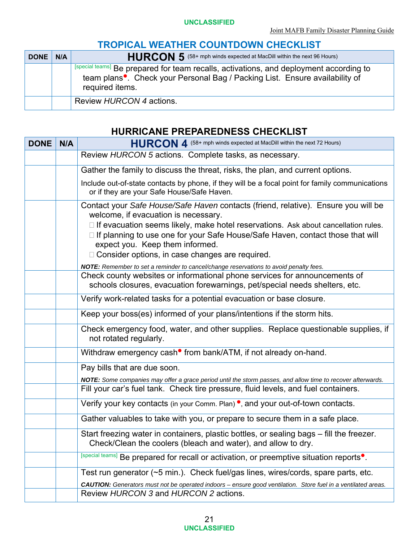#### **TROPICAL WEATHER COUNTDOWN CHECKLIST**

| <b>DONE</b> | N/A | HURCON 5 (58+ mph winds expected at MacDill within the next 96 Hours)                                                                                                                                 |
|-------------|-----|-------------------------------------------------------------------------------------------------------------------------------------------------------------------------------------------------------|
|             |     | [special teams] Be prepared for team recalls, activations, and deployment according to<br>team plans <sup>•</sup> . Check your Personal Bag / Packing List. Ensure availability of<br>required items. |
|             |     | Review HURCON 4 actions.                                                                                                                                                                              |

#### **HURRICANE PREPAREDNESS CHECKLIST**

| <b>DONE</b> | N/A | HURCON 4 (58+ mph winds expected at MacDill within the next 72 Hours)                                                                                                                                                                                                                                                                                                                                                                                                                        |
|-------------|-----|----------------------------------------------------------------------------------------------------------------------------------------------------------------------------------------------------------------------------------------------------------------------------------------------------------------------------------------------------------------------------------------------------------------------------------------------------------------------------------------------|
|             |     | Review HURCON 5 actions. Complete tasks, as necessary.                                                                                                                                                                                                                                                                                                                                                                                                                                       |
|             |     | Gather the family to discuss the threat, risks, the plan, and current options.                                                                                                                                                                                                                                                                                                                                                                                                               |
|             |     | Include out-of-state contacts by phone, if they will be a focal point for family communications<br>or if they are your Safe House/Safe Haven.                                                                                                                                                                                                                                                                                                                                                |
|             |     | Contact your Safe House/Safe Haven contacts (friend, relative). Ensure you will be<br>welcome, if evacuation is necessary.<br>$\Box$ If evacuation seems likely, make hotel reservations. Ask about cancellation rules.<br>□ If planning to use one for your Safe House/Safe Haven, contact those that will<br>expect you. Keep them informed.<br>□ Consider options, in case changes are required.<br>NOTE: Remember to set a reminder to cancel/change reservations to avoid penalty fees. |
|             |     | Check county websites or informational phone services for announcements of<br>schools closures, evacuation forewarnings, pet/special needs shelters, etc.                                                                                                                                                                                                                                                                                                                                    |
|             |     | Verify work-related tasks for a potential evacuation or base closure.                                                                                                                                                                                                                                                                                                                                                                                                                        |
|             |     | Keep your boss(es) informed of your plans/intentions if the storm hits.                                                                                                                                                                                                                                                                                                                                                                                                                      |
|             |     | Check emergency food, water, and other supplies. Replace questionable supplies, if<br>not rotated regularly.                                                                                                                                                                                                                                                                                                                                                                                 |
|             |     | Withdraw emergency cash <sup>•</sup> from bank/ATM, if not already on-hand.                                                                                                                                                                                                                                                                                                                                                                                                                  |
|             |     | Pay bills that are due soon.                                                                                                                                                                                                                                                                                                                                                                                                                                                                 |
|             |     | NOTE: Some companies may offer a grace period until the storm passes, and allow time to recover afterwards.<br>Fill your car's fuel tank. Check tire pressure, fluid levels, and fuel containers.                                                                                                                                                                                                                                                                                            |
|             |     | Verify your key contacts (in your Comm. Plan) <sup>o</sup> , and your out-of-town contacts.                                                                                                                                                                                                                                                                                                                                                                                                  |
|             |     | Gather valuables to take with you, or prepare to secure them in a safe place.                                                                                                                                                                                                                                                                                                                                                                                                                |
|             |     | Start freezing water in containers, plastic bottles, or sealing bags – fill the freezer.<br>Check/Clean the coolers (bleach and water), and allow to dry.                                                                                                                                                                                                                                                                                                                                    |
|             |     | [special teams] Be prepared for recall or activation, or preemptive situation reports <sup>.</sup>                                                                                                                                                                                                                                                                                                                                                                                           |
|             |     | Test run generator (~5 min.). Check fuel/gas lines, wires/cords, spare parts, etc.<br>CAUTION: Generators must not be operated indoors - ensure good ventilation. Store fuel in a ventilated areas.                                                                                                                                                                                                                                                                                          |
|             |     | Review HURCON 3 and HURCON 2 actions.                                                                                                                                                                                                                                                                                                                                                                                                                                                        |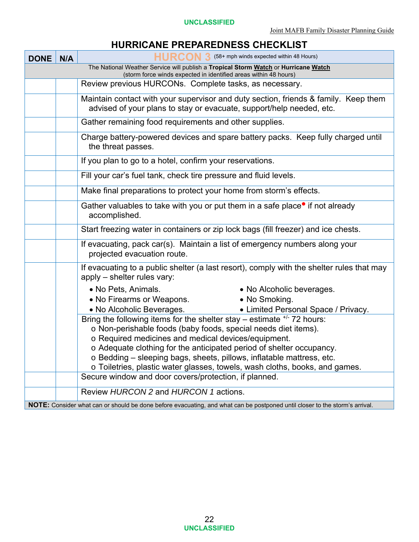#### **HURRICANE PREPAREDNESS CHECKLIST**

| <b>DONE</b> | N/A                                                                                                                                                     | HURCON 3 (58+ mph winds expected within 48 Hours)                                                                                                           |  |  |  |  |  |  |
|-------------|---------------------------------------------------------------------------------------------------------------------------------------------------------|-------------------------------------------------------------------------------------------------------------------------------------------------------------|--|--|--|--|--|--|
|             | The National Weather Service will publish a Tropical Storm Watch or Hurricane Watch<br>(storm force winds expected in identified areas within 48 hours) |                                                                                                                                                             |  |  |  |  |  |  |
|             |                                                                                                                                                         | Review previous HURCONs. Complete tasks, as necessary.                                                                                                      |  |  |  |  |  |  |
|             |                                                                                                                                                         |                                                                                                                                                             |  |  |  |  |  |  |
|             |                                                                                                                                                         | Maintain contact with your supervisor and duty section, friends & family. Keep them<br>advised of your plans to stay or evacuate, support/help needed, etc. |  |  |  |  |  |  |
|             |                                                                                                                                                         | Gather remaining food requirements and other supplies.                                                                                                      |  |  |  |  |  |  |
|             |                                                                                                                                                         | Charge battery-powered devices and spare battery packs. Keep fully charged until<br>the threat passes.                                                      |  |  |  |  |  |  |
|             |                                                                                                                                                         | If you plan to go to a hotel, confirm your reservations.                                                                                                    |  |  |  |  |  |  |
|             |                                                                                                                                                         | Fill your car's fuel tank, check tire pressure and fluid levels.                                                                                            |  |  |  |  |  |  |
|             |                                                                                                                                                         | Make final preparations to protect your home from storm's effects.                                                                                          |  |  |  |  |  |  |
|             |                                                                                                                                                         | Gather valuables to take with you or put them in a safe place <sup>•</sup> if not already<br>accomplished.                                                  |  |  |  |  |  |  |
|             |                                                                                                                                                         | Start freezing water in containers or zip lock bags (fill freezer) and ice chests.                                                                          |  |  |  |  |  |  |
|             |                                                                                                                                                         | If evacuating, pack car(s). Maintain a list of emergency numbers along your<br>projected evacuation route.                                                  |  |  |  |  |  |  |
|             |                                                                                                                                                         | If evacuating to a public shelter (a last resort), comply with the shelter rules that may<br>apply - shelter rules vary:                                    |  |  |  |  |  |  |
|             |                                                                                                                                                         | • No Pets, Animals.<br>• No Alcoholic beverages.                                                                                                            |  |  |  |  |  |  |
|             |                                                                                                                                                         | • No Firearms or Weapons.<br>• No Smoking.                                                                                                                  |  |  |  |  |  |  |
|             |                                                                                                                                                         | • No Alcoholic Beverages.<br>• Limited Personal Space / Privacy.                                                                                            |  |  |  |  |  |  |
|             |                                                                                                                                                         | Bring the following items for the shelter stay – estimate $^{+/}$ 72 hours:                                                                                 |  |  |  |  |  |  |
|             |                                                                                                                                                         | o Non-perishable foods (baby foods, special needs diet items).                                                                                              |  |  |  |  |  |  |
|             |                                                                                                                                                         | o Required medicines and medical devices/equipment.                                                                                                         |  |  |  |  |  |  |
|             |                                                                                                                                                         | o Adequate clothing for the anticipated period of shelter occupancy.                                                                                        |  |  |  |  |  |  |
|             |                                                                                                                                                         | o Bedding – sleeping bags, sheets, pillows, inflatable mattress, etc.<br>o Toiletries, plastic water glasses, towels, wash cloths, books, and games.        |  |  |  |  |  |  |
|             |                                                                                                                                                         | Secure window and door covers/protection, if planned.                                                                                                       |  |  |  |  |  |  |
|             |                                                                                                                                                         |                                                                                                                                                             |  |  |  |  |  |  |
|             |                                                                                                                                                         | Review HURCON 2 and HURCON 1 actions.                                                                                                                       |  |  |  |  |  |  |
|             |                                                                                                                                                         | NOTE: Consider what can or should be done before evacuating, and what can be postponed until closer to the storm's arrival.                                 |  |  |  |  |  |  |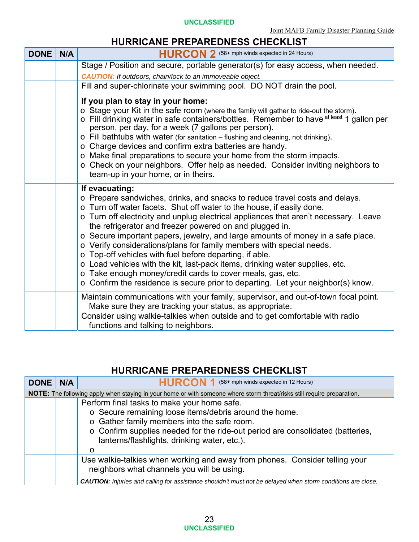#### **UNCLASSIFIED**

#### **HURRICANE PREPAREDNESS CHECKLIST**

| <b>DONE</b> | N/A | HURCON 2 (58+ mph winds expected in 24 Hours)                                                                                                                                                                                                                                                                                                                                                                                                                                                                                                                                                                                                                                                                                                                                     |
|-------------|-----|-----------------------------------------------------------------------------------------------------------------------------------------------------------------------------------------------------------------------------------------------------------------------------------------------------------------------------------------------------------------------------------------------------------------------------------------------------------------------------------------------------------------------------------------------------------------------------------------------------------------------------------------------------------------------------------------------------------------------------------------------------------------------------------|
|             |     | Stage / Position and secure, portable generator(s) for easy access, when needed.                                                                                                                                                                                                                                                                                                                                                                                                                                                                                                                                                                                                                                                                                                  |
|             |     | <b>CAUTION:</b> If outdoors, chain/lock to an immoveable object.                                                                                                                                                                                                                                                                                                                                                                                                                                                                                                                                                                                                                                                                                                                  |
|             |     | Fill and super-chlorinate your swimming pool. DO NOT drain the pool.                                                                                                                                                                                                                                                                                                                                                                                                                                                                                                                                                                                                                                                                                                              |
|             |     | If you plan to stay in your home:<br>o Stage your Kit in the safe room (where the family will gather to ride-out the storm).<br>o Fill drinking water in safe containers/bottles. Remember to have at least 1 gallon per<br>person, per day, for a week (7 gallons per person).<br>$\circ$ Fill bathtubs with water (for sanitation – flushing and cleaning, not drinking).<br>o Charge devices and confirm extra batteries are handy.<br>o Make final preparations to secure your home from the storm impacts.<br>o Check on your neighbors. Offer help as needed. Consider inviting neighbors to<br>team-up in your home, or in theirs.                                                                                                                                         |
|             |     | If evacuating:<br>o Prepare sandwiches, drinks, and snacks to reduce travel costs and delays.<br>o Turn off water facets. Shut off water to the house, if easily done.<br>o Turn off electricity and unplug electrical appliances that aren't necessary. Leave<br>the refrigerator and freezer powered on and plugged in.<br>o Secure important papers, jewelry, and large amounts of money in a safe place.<br>o Verify considerations/plans for family members with special needs.<br>o Top-off vehicles with fuel before departing, if able.<br>o Load vehicles with the kit, last-pack items, drinking water supplies, etc.<br>o Take enough money/credit cards to cover meals, gas, etc.<br>o Confirm the residence is secure prior to departing. Let your neighbor(s) know. |
|             |     | Maintain communications with your family, supervisor, and out-of-town focal point.<br>Make sure they are tracking your status, as appropriate.                                                                                                                                                                                                                                                                                                                                                                                                                                                                                                                                                                                                                                    |
|             |     | Consider using walkie-talkies when outside and to get comfortable with radio<br>functions and talking to neighbors.                                                                                                                                                                                                                                                                                                                                                                                                                                                                                                                                                                                                                                                               |

#### **HURRICANE PREPAREDNESS CHECKLIST**

| <b>DONE</b> | N/A | HURCON 1 (58+ mph winds expected in 12 Hours)                                                                                  |
|-------------|-----|--------------------------------------------------------------------------------------------------------------------------------|
|             |     | NOTE: The following apply when staying in your home or with someone where storm threat/risks still require preparation.        |
|             |     | Perform final tasks to make your home safe.                                                                                    |
|             |     | o Secure remaining loose items/debris around the home.                                                                         |
|             |     | o Gather family members into the safe room.                                                                                    |
|             |     | ○ Confirm supplies needed for the ride-out period are consolidated (batteries,<br>lanterns/flashlights, drinking water, etc.). |
|             |     | O                                                                                                                              |
|             |     | Use walkie-talkies when working and away from phones. Consider telling your<br>neighbors what channels you will be using.      |
|             |     | CAUTION: Injuries and calling for assistance shouldn't must not be delayed when storm conditions are close.                    |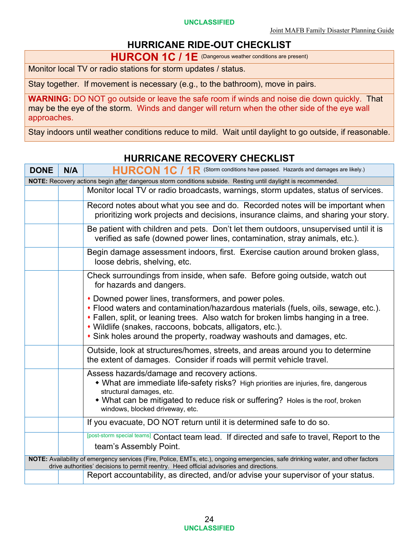**UNCLASSIFIED** 

### **HURRICANE RIDE-OUT CHECKLIST**

**HURCON 1C / 1E** (Dangerous weather conditions are present)

Monitor local TV or radio stations for storm updates / status.

Stay together. If movement is necessary (e.g., to the bathroom), move in pairs.

**WARNING:** DO NOT go outside or leave the safe room if winds and noise die down quickly. That may be the eye of the storm. Winds and danger will return when the other side of the eye wall approaches.

Stay indoors until weather conditions reduce to mild. Wait until daylight to go outside, if reasonable.

| <b>DONE</b> | N/A                                                                                                           | HURCON 1C / 1R (Storm conditions have passed. Hazards and damages are likely.)                                                                                                                                                                                                                                                                                      |  |  |  |  |
|-------------|---------------------------------------------------------------------------------------------------------------|---------------------------------------------------------------------------------------------------------------------------------------------------------------------------------------------------------------------------------------------------------------------------------------------------------------------------------------------------------------------|--|--|--|--|
|             | NOTE: Recovery actions begin after dangerous storm conditions subside. Resting until daylight is recommended. |                                                                                                                                                                                                                                                                                                                                                                     |  |  |  |  |
|             |                                                                                                               | Monitor local TV or radio broadcasts, warnings, storm updates, status of services.                                                                                                                                                                                                                                                                                  |  |  |  |  |
|             |                                                                                                               | Record notes about what you see and do. Recorded notes will be important when<br>prioritizing work projects and decisions, insurance claims, and sharing your story.                                                                                                                                                                                                |  |  |  |  |
|             |                                                                                                               | Be patient with children and pets. Don't let them outdoors, unsupervised until it is<br>verified as safe (downed power lines, contamination, stray animals, etc.).                                                                                                                                                                                                  |  |  |  |  |
|             |                                                                                                               | Begin damage assessment indoors, first. Exercise caution around broken glass,<br>loose debris, shelving, etc.                                                                                                                                                                                                                                                       |  |  |  |  |
|             |                                                                                                               | Check surroundings from inside, when safe. Before going outside, watch out<br>for hazards and dangers.                                                                                                                                                                                                                                                              |  |  |  |  |
|             |                                                                                                               | • Downed power lines, transformers, and power poles.<br>• Flood waters and contamination/hazardous materials (fuels, oils, sewage, etc.).<br>• Fallen, split, or leaning trees. Also watch for broken limbs hanging in a tree.<br>• Wildlife (snakes, raccoons, bobcats, alligators, etc.).<br>• Sink holes around the property, roadway washouts and damages, etc. |  |  |  |  |
|             |                                                                                                               | Outside, look at structures/homes, streets, and areas around you to determine<br>the extent of damages. Consider if roads will permit vehicle travel.                                                                                                                                                                                                               |  |  |  |  |
|             |                                                                                                               | Assess hazards/damage and recovery actions.<br>• What are immediate life-safety risks? High priorities are injuries, fire, dangerous<br>structural damages, etc.<br>• What can be mitigated to reduce risk or suffering? Holes is the roof, broken<br>windows, blocked driveway, etc.                                                                               |  |  |  |  |
|             |                                                                                                               | If you evacuate, DO NOT return until it is determined safe to do so.                                                                                                                                                                                                                                                                                                |  |  |  |  |
|             |                                                                                                               | [post-storm special teams] Contact team lead. If directed and safe to travel, Report to the<br>team's Assembly Point.                                                                                                                                                                                                                                               |  |  |  |  |
|             |                                                                                                               | NOTE: Availability of emergency services (Fire, Police, EMTs, etc.), ongoing emergencies, safe drinking water, and other factors                                                                                                                                                                                                                                    |  |  |  |  |
|             |                                                                                                               | drive authorities' decisions to permit reentry. Heed official advisories and directions.                                                                                                                                                                                                                                                                            |  |  |  |  |
|             |                                                                                                               | Report accountability, as directed, and/or advise your supervisor of your status.                                                                                                                                                                                                                                                                                   |  |  |  |  |

#### **HURRICANE RECOVERY CHECKLIST**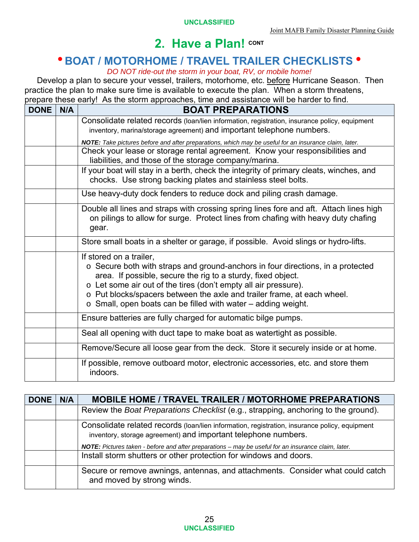# **BOAT / MOTORHOME / TRAVEL TRAILER CHECKLISTS**

#### *DO NOT ride-out the storm in your boat, RV, or mobile home!*

Develop a plan to secure your vessel, trailers, motorhome, etc. before Hurricane Season. Then practice the plan to make sure time is available to execute the plan. When a storm threatens, prepare these early! As the storm approaches, time and assistance will be harder to find.

| <b>DONE</b> | N/A | <b>BOAT PREPARATIONS</b>                                                                                                                                                                                                                                                                                                                                                                        |
|-------------|-----|-------------------------------------------------------------------------------------------------------------------------------------------------------------------------------------------------------------------------------------------------------------------------------------------------------------------------------------------------------------------------------------------------|
|             |     | Consolidate related records (loan/lien information, registration, insurance policy, equipment<br>inventory, marina/storage agreement) and important telephone numbers.                                                                                                                                                                                                                          |
|             |     | NOTE: Take pictures before and after preparations, which may be useful for an insurance claim, later.                                                                                                                                                                                                                                                                                           |
|             |     | Check your lease or storage rental agreement. Know your responsibilities and<br>liabilities, and those of the storage company/marina.                                                                                                                                                                                                                                                           |
|             |     | If your boat will stay in a berth, check the integrity of primary cleats, winches, and<br>chocks. Use strong backing plates and stainless steel bolts.                                                                                                                                                                                                                                          |
|             |     | Use heavy-duty dock fenders to reduce dock and piling crash damage.                                                                                                                                                                                                                                                                                                                             |
|             |     | Double all lines and straps with crossing spring lines fore and aft. Attach lines high<br>on pilings to allow for surge. Protect lines from chafing with heavy duty chafing<br>gear.                                                                                                                                                                                                            |
|             |     | Store small boats in a shelter or garage, if possible. Avoid slings or hydro-lifts.                                                                                                                                                                                                                                                                                                             |
|             |     | If stored on a trailer,<br>o Secure both with straps and ground-anchors in four directions, in a protected<br>area. If possible, secure the rig to a sturdy, fixed object.<br>o Let some air out of the tires (don't empty all air pressure).<br>o Put blocks/spacers between the axle and trailer frame, at each wheel.<br>$\circ$ Small, open boats can be filled with water – adding weight. |
|             |     | Ensure batteries are fully charged for automatic bilge pumps.                                                                                                                                                                                                                                                                                                                                   |
|             |     | Seal all opening with duct tape to make boat as watertight as possible.                                                                                                                                                                                                                                                                                                                         |
|             |     | Remove/Secure all loose gear from the deck. Store it securely inside or at home.                                                                                                                                                                                                                                                                                                                |
|             |     | If possible, remove outboard motor, electronic accessories, etc. and store them<br>indoors.                                                                                                                                                                                                                                                                                                     |

| <b>DONE</b> | N/A | <b>MOBILE HOME / TRAVEL TRAILER / MOTORHOME PREPARATIONS</b>                                                                                                    |
|-------------|-----|-----------------------------------------------------------------------------------------------------------------------------------------------------------------|
|             |     | Review the <i>Boat Preparations Checklist</i> (e.g., strapping, anchoring to the ground).                                                                       |
|             |     | Consolidate related records (loan/lien information, registration, insurance policy, equipment<br>inventory, storage agreement) and important telephone numbers. |
|             |     | NOTE: Pictures taken - before and after preparations - may be useful for an insurance claim, later.                                                             |
|             |     | Install storm shutters or other protection for windows and doors.                                                                                               |
|             |     | Secure or remove awnings, antennas, and attachments. Consider what could catch<br>and moved by strong winds.                                                    |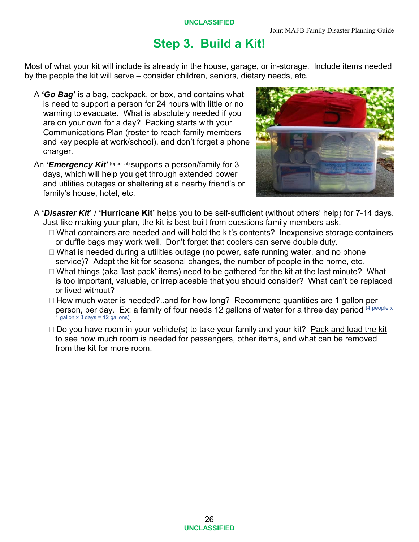# **Step 3. Build a Kit!**

Most of what your kit will include is already in the house, garage, or in-storage. Include items needed by the people the kit will serve – consider children, seniors, dietary needs, etc.

- A **'***Go Bag***'** is a bag, backpack, or box, and contains what is need to support a person for 24 hours with little or no warning to evacuate. What is absolutely needed if you are on your own for a day? Packing starts with your Communications Plan (roster to reach family members and key people at work/school), and don't forget a phone charger.
- An **'***Emergency Kit***' <sup>(optional) supports a person/family for 3**</sup> days, which will help you get through extended power and utilities outages or sheltering at a nearby friend's or family's house, hotel, etc.



- A **'***Disaster Kit***'** / **'Hurricane Kit'** helps you to be self-sufficient (without others' help) for 7-14 days. Just like making your plan, the kit is best built from questions family members ask.
	- □ What containers are needed and will hold the kit's contents? Inexpensive storage containers or duffle bags may work well. Don't forget that coolers can serve double duty.
	- $\Box$  What is needed during a utilities outage (no power, safe running water, and no phone service)? Adapt the kit for seasonal changes, the number of people in the home, etc.
	- □ What things (aka 'last pack' items) need to be gathered for the kit at the last minute? What is too important, valuable, or irreplaceable that you should consider? What can't be replaced or lived without?
	- $\Box$  How much water is needed?..and for how long? Recommend quantities are 1 gallon per person, per day. Ex: a family of four needs 12 gallons of water for a three day period  $(4 \text{ people } x)$ 1 gallon  $\times$  3 days = 12 gallons).
	- $\Box$  Do you have room in your vehicle(s) to take your family and your kit? Pack and load the kit to see how much room is needed for passengers, other items, and what can be removed from the kit for more room.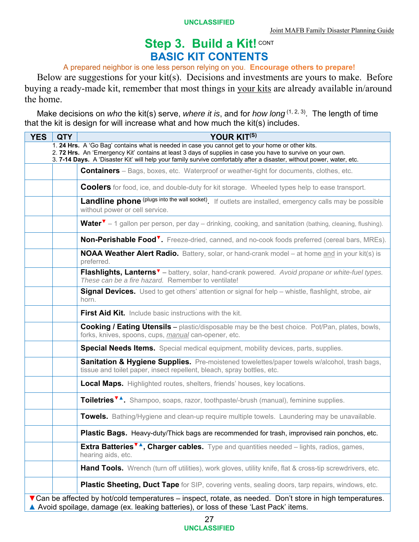# Step 3. Build a Kit! CONT **BASIC KIT CONTENTS**

#### A prepared neighbor is one less person relying on you. **Encourage others to prepare!**

Below are suggestions for your kit(s). Decisions and investments are yours to make. Before buying a ready-made kit, remember that most things in your kits are already available in/around the home.

Make decisions on *who* the kit(s) serve, *where it is*, and for *how long*<sup>(1, 2, 3). The length of time</sup> that the kit is design for will increase what and how much the kit(s) includes.

| <b>YES</b> | <b>QTY</b> | YOUR KIT(S)                                                                                                                                                                                                                                                                                                                              |
|------------|------------|------------------------------------------------------------------------------------------------------------------------------------------------------------------------------------------------------------------------------------------------------------------------------------------------------------------------------------------|
|            |            | 1. 24 Hrs. A 'Go Bag' contains what is needed in case you cannot get to your home or other kits.<br>2. 72 Hrs. An 'Emergency Kit' contains at least 3 days of supplies in case you have to survive on your own.<br>3. 7-14 Days. A 'Disaster Kit' will help your family survive comfortably after a disaster, without power, water, etc. |
|            |            | <b>Containers</b> – Bags, boxes, etc. Waterproof or weather-tight for documents, clothes, etc.                                                                                                                                                                                                                                           |
|            |            | <b>Coolers</b> for food, ice, and double-duty for kit storage. Wheeled types help to ease transport.                                                                                                                                                                                                                                     |
|            |            | Landline phone (plugs into the wall socket) If outlets are installed, emergency calls may be possible<br>without power or cell service.                                                                                                                                                                                                  |
|            |            | <b>Water<sup>v</sup></b> – 1 gallon per person, per day – drinking, cooking, and sanitation (bathing, cleaning, flushing).                                                                                                                                                                                                               |
|            |            | <b>Non-Perishable Food<sup>V</sup>.</b> Freeze-dried, canned, and no-cook foods preferred (cereal bars, MREs).                                                                                                                                                                                                                           |
|            |            | <b>NOAA Weather Alert Radio.</b> Battery, solar, or hand-crank model – at home and in your kit(s) is<br>preferred.                                                                                                                                                                                                                       |
|            |            | Flashlights, Lanterns <sup>v</sup> – battery, solar, hand-crank powered. Avoid propane or white-fuel types.<br>These can be a fire hazard. Remember to ventilate!                                                                                                                                                                        |
|            |            | <b>Signal Devices.</b> Used to get others' attention or signal for help - whistle, flashlight, strobe, air<br>horn.                                                                                                                                                                                                                      |
|            |            | <b>First Aid Kit.</b> Include basic instructions with the kit.                                                                                                                                                                                                                                                                           |
|            |            | <b>Cooking / Eating Utensils</b> – plastic/disposable may be the best choice. Pot/Pan, plates, bowls,<br>forks, knives, spoons, cups, manual can-opener, etc.                                                                                                                                                                            |
|            |            | <b>Special Needs Items.</b> Special medical equipment, mobility devices, parts, supplies.                                                                                                                                                                                                                                                |
|            |            | <b>Sanitation &amp; Hygiene Supplies.</b> Pre-moistened towelettes/paper towels w/alcohol, trash bags,<br>tissue and toilet paper, insect repellent, bleach, spray bottles, etc.                                                                                                                                                         |
|            |            | <b>Local Maps.</b> Highlighted routes, shelters, friends' houses, key locations.                                                                                                                                                                                                                                                         |
|            |            | Toiletries <sup>V</sup> A. Shampoo, soaps, razor, toothpaste/-brush (manual), feminine supplies.                                                                                                                                                                                                                                         |
|            |            | Towels. Bathing/Hygiene and clean-up require multiple towels. Laundering may be unavailable.                                                                                                                                                                                                                                             |
|            |            | Plastic Bags. Heavy-duty/Thick bags are recommended for trash, improvised rain ponchos, etc.                                                                                                                                                                                                                                             |
|            |            | <b>Extra Batteries<sup>V</sup>A</b> , Charger cables. Type and quantities needed – lights, radios, games,<br>hearing aids, etc.                                                                                                                                                                                                          |
|            |            | <b>Hand Tools.</b> Wrench (turn off utilities), work gloves, utility knife, flat & cross-tip screwdrivers, etc.                                                                                                                                                                                                                          |
|            |            | <b>Plastic Sheeting, Duct Tape</b> for SIP, covering vents, sealing doors, tarp repairs, windows, etc.                                                                                                                                                                                                                                   |
|            |            | ▼ Can be affected by hot/cold temperatures – inspect, rotate, as needed. Don't store in high temperatures.<br>▲ Avoid spoilage, damage (ex. leaking batteries), or loss of these 'Last Pack' items.                                                                                                                                      |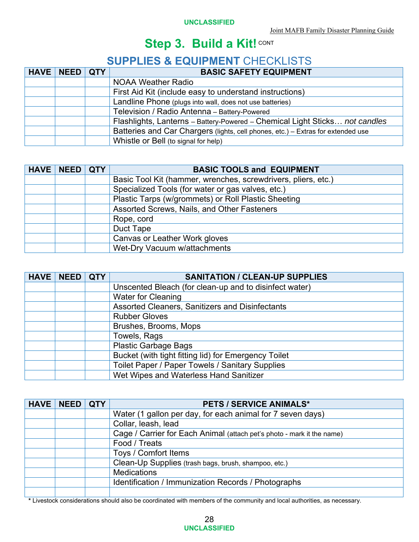# **SUPPLIES & EQUIPMENT** CHECKLISTS

| HAVE   NEED   QTY | <b>BASIC SAFETY EQUIPMENT</b>                                                    |
|-------------------|----------------------------------------------------------------------------------|
|                   | <b>NOAA Weather Radio</b>                                                        |
|                   | First Aid Kit (include easy to understand instructions)                          |
|                   | Landline Phone (plugs into wall, does not use batteries)                         |
|                   | Television / Radio Antenna - Battery-Powered                                     |
|                   | Flashlights, Lanterns - Battery-Powered - Chemical Light Sticks not candles      |
|                   | Batteries and Car Chargers (lights, cell phones, etc.) - Extras for extended use |
|                   | Whistle or Bell (to signal for help)                                             |

| <b>HAVE   NEED   QTY</b> | <b>BASIC TOOLS and EQUIPMENT</b>                              |
|--------------------------|---------------------------------------------------------------|
|                          | Basic Tool Kit (hammer, wrenches, screwdrivers, pliers, etc.) |
|                          | Specialized Tools (for water or gas valves, etc.)             |
|                          | Plastic Tarps (w/grommets) or Roll Plastic Sheeting           |
|                          | Assorted Screws, Nails, and Other Fasteners                   |
|                          | Rope, cord                                                    |
|                          | Duct Tape                                                     |
|                          | Canvas or Leather Work gloves                                 |
|                          | Wet-Dry Vacuum w/attachments                                  |

| <b>HAVE</b> | NEED | <b>QTY</b> | <b>SANITATION / CLEAN-UP SUPPLIES</b>                  |
|-------------|------|------------|--------------------------------------------------------|
|             |      |            | Unscented Bleach (for clean-up and to disinfect water) |
|             |      |            | <b>Water for Cleaning</b>                              |
|             |      |            | Assorted Cleaners, Sanitizers and Disinfectants        |
|             |      |            | <b>Rubber Gloves</b>                                   |
|             |      |            | Brushes, Brooms, Mops                                  |
|             |      |            | Towels, Rags                                           |
|             |      |            | <b>Plastic Garbage Bags</b>                            |
|             |      |            | Bucket (with tight fitting lid) for Emergency Toilet   |
|             |      |            | Toilet Paper / Paper Towels / Sanitary Supplies        |
|             |      |            | Wet Wipes and Waterless Hand Sanitizer                 |

| <b>HAVE   NEED   QTY</b> | <b>PETS / SERVICE ANIMALS*</b>                                         |
|--------------------------|------------------------------------------------------------------------|
|                          | Water (1 gallon per day, for each animal for 7 seven days)             |
|                          | Collar, leash, lead                                                    |
|                          | Cage / Carrier for Each Animal (attach pet's photo - mark it the name) |
|                          | Food / Treats                                                          |
|                          | Toys / Comfort Items                                                   |
|                          | Clean-Up Supplies (trash bags, brush, shampoo, etc.)                   |
|                          | <b>Medications</b>                                                     |
|                          | Identification / Immunization Records / Photographs                    |
|                          |                                                                        |

**\*** Livestock considerations should also be coordinated with members of the community and local authorities, as necessary.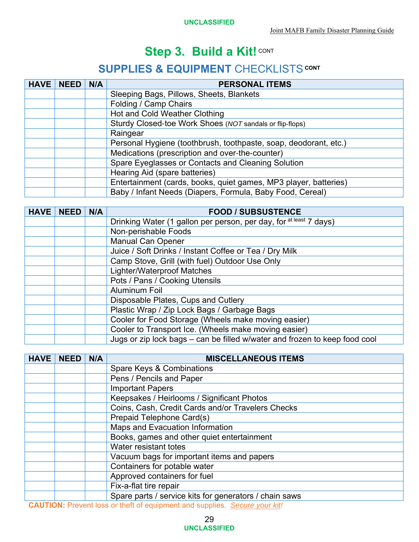# **SUPPLIES & EQUIPMENT** CHECKLISTS CONT

| <b>HAVE</b> | <b>NEED</b> | N/A | <b>PERSONAL ITEMS</b>                                            |
|-------------|-------------|-----|------------------------------------------------------------------|
|             |             |     | Sleeping Bags, Pillows, Sheets, Blankets                         |
|             |             |     | Folding / Camp Chairs                                            |
|             |             |     | Hot and Cold Weather Clothing                                    |
|             |             |     | Sturdy Closed-toe Work Shoes (NOT sandals or flip-flops)         |
|             |             |     | Raingear                                                         |
|             |             |     | Personal Hygiene (toothbrush, toothpaste, soap, deodorant, etc.) |
|             |             |     | Medications (prescription and over-the-counter)                  |
|             |             |     | Spare Eyeglasses or Contacts and Cleaning Solution               |
|             |             |     | Hearing Aid (spare batteries)                                    |
|             |             |     | Entertainment (cards, books, quiet games, MP3 player, batteries) |
|             |             |     | Baby / Infant Needs (Diapers, Formula, Baby Food, Cereal)        |

| <b>HAVE</b> | <b>NEED</b> | N/A | <b>FOOD / SUBSUSTENCE</b>                                                  |  |  |
|-------------|-------------|-----|----------------------------------------------------------------------------|--|--|
|             |             |     | Drinking Water (1 gallon per person, per day, for at least 7 days)         |  |  |
|             |             |     | Non-perishable Foods                                                       |  |  |
|             |             |     | <b>Manual Can Opener</b>                                                   |  |  |
|             |             |     | Juice / Soft Drinks / Instant Coffee or Tea / Dry Milk                     |  |  |
|             |             |     | Camp Stove, Grill (with fuel) Outdoor Use Only                             |  |  |
|             |             |     | <b>Lighter/Waterproof Matches</b>                                          |  |  |
|             |             |     | Pots / Pans / Cooking Utensils                                             |  |  |
|             |             |     | <b>Aluminum Foil</b>                                                       |  |  |
|             |             |     | Disposable Plates, Cups and Cutlery                                        |  |  |
|             |             |     | Plastic Wrap / Zip Lock Bags / Garbage Bags                                |  |  |
|             |             |     | Cooler for Food Storage (Wheels make moving easier)                        |  |  |
|             |             |     | Cooler to Transport Ice. (Wheels make moving easier)                       |  |  |
|             |             |     | Jugs or zip lock bags - can be filled w/water and frozen to keep food cool |  |  |

| <b>HAVE</b>                                                                                                                                                                                                                                                                                                       | <b>NEED</b> | N/A | <b>MISCELLANEOUS ITEMS</b>                             |  |  |
|-------------------------------------------------------------------------------------------------------------------------------------------------------------------------------------------------------------------------------------------------------------------------------------------------------------------|-------------|-----|--------------------------------------------------------|--|--|
|                                                                                                                                                                                                                                                                                                                   |             |     | Spare Keys & Combinations                              |  |  |
|                                                                                                                                                                                                                                                                                                                   |             |     | Pens / Pencils and Paper                               |  |  |
|                                                                                                                                                                                                                                                                                                                   |             |     | <b>Important Papers</b>                                |  |  |
|                                                                                                                                                                                                                                                                                                                   |             |     | Keepsakes / Heirlooms / Significant Photos             |  |  |
|                                                                                                                                                                                                                                                                                                                   |             |     | Coins, Cash, Credit Cards and/or Travelers Checks      |  |  |
|                                                                                                                                                                                                                                                                                                                   |             |     | Prepaid Telephone Card(s)                              |  |  |
|                                                                                                                                                                                                                                                                                                                   |             |     | Maps and Evacuation Information                        |  |  |
|                                                                                                                                                                                                                                                                                                                   |             |     | Books, games and other quiet entertainment             |  |  |
|                                                                                                                                                                                                                                                                                                                   |             |     | Water resistant totes                                  |  |  |
|                                                                                                                                                                                                                                                                                                                   |             |     | Vacuum bags for important items and papers             |  |  |
|                                                                                                                                                                                                                                                                                                                   |             |     | Containers for potable water                           |  |  |
|                                                                                                                                                                                                                                                                                                                   |             |     | Approved containers for fuel                           |  |  |
|                                                                                                                                                                                                                                                                                                                   |             |     | Fix-a-flat tire repair                                 |  |  |
|                                                                                                                                                                                                                                                                                                                   |             |     | Spare parts / service kits for generators / chain saws |  |  |
| $\bigcap_{i=1}^n$ $\bigcup_{i=1}^n$ $\bigcap_{i=1}^n$ $\bigcup_{i=1}^n$ $\bigcap_{i=1}^n$ $\bigcap_{i=1}^n$ $\bigcap_{i=1}^n$ $\bigcap_{i=1}^n$ $\bigcap_{i=1}^n$ $\bigcap_{i=1}^n$ $\bigcap_{i=1}^n$ $\bigcap_{i=1}^n$ $\bigcap_{i=1}^n$ $\bigcap_{i=1}^n$ $\bigcap_{i=1}^n$ $\bigcap_{i=1}^n$ $\bigcap_{i=1}^n$ |             |     |                                                        |  |  |

**CAUTION:** Prevent loss or theft of equipment and supplies. *Secure your kit!*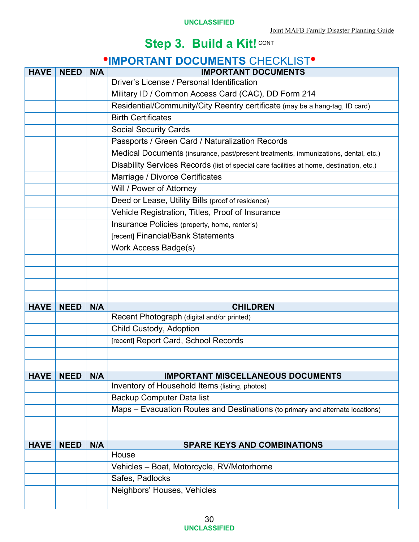# *IMPORTANT DOCUMENTS CHECKLIST<sup>®</sup>*

| <b>HAVE</b> |             |     | <u>UNITED BUUDINEN IU UNEUNEIU I</u><br><b>IMPORTANT DOCUMENTS</b>                       |  |  |
|-------------|-------------|-----|------------------------------------------------------------------------------------------|--|--|
|             | <b>NEED</b> | N/A | Driver's License / Personal Identification                                               |  |  |
|             |             |     | Military ID / Common Access Card (CAC), DD Form 214                                      |  |  |
|             |             |     | Residential/Community/City Reentry certificate (may be a hang-tag, ID card)              |  |  |
|             |             |     | <b>Birth Certificates</b>                                                                |  |  |
|             |             |     | <b>Social Security Cards</b>                                                             |  |  |
|             |             |     | Passports / Green Card / Naturalization Records                                          |  |  |
|             |             |     |                                                                                          |  |  |
|             |             |     | Medical Documents (insurance, past/present treatments, immunizations, dental, etc.)      |  |  |
|             |             |     | Disability Services Records (list of special care facilities at home, destination, etc.) |  |  |
|             |             |     | Marriage / Divorce Certificates                                                          |  |  |
|             |             |     | Will / Power of Attorney                                                                 |  |  |
|             |             |     | Deed or Lease, Utility Bills (proof of residence)                                        |  |  |
|             |             |     | Vehicle Registration, Titles, Proof of Insurance                                         |  |  |
|             |             |     | Insurance Policies (property, home, renter's)                                            |  |  |
|             |             |     | [recent] Financial/Bank Statements                                                       |  |  |
|             |             |     | Work Access Badge(s)                                                                     |  |  |
|             |             |     |                                                                                          |  |  |
|             |             |     |                                                                                          |  |  |
|             |             |     |                                                                                          |  |  |
|             |             |     |                                                                                          |  |  |
| <b>HAVE</b> | <b>NEED</b> | N/A | <b>CHILDREN</b>                                                                          |  |  |
|             |             |     | Recent Photograph (digital and/or printed)                                               |  |  |
|             |             |     | Child Custody, Adoption                                                                  |  |  |
|             |             |     | [recent] Report Card, School Records                                                     |  |  |
|             |             |     |                                                                                          |  |  |
|             |             |     |                                                                                          |  |  |
| <b>HAVE</b> | <b>NEED</b> | N/A | <b>IMPORTANT MISCELLANEOUS DOCUMENTS</b>                                                 |  |  |
|             |             |     | Inventory of Household Items (listing, photos)                                           |  |  |
|             |             |     | <b>Backup Computer Data list</b>                                                         |  |  |
|             |             |     | Maps – Evacuation Routes and Destinations (to primary and alternate locations)           |  |  |
|             |             |     |                                                                                          |  |  |
|             |             |     |                                                                                          |  |  |
| <b>HAVE</b> | <b>NEED</b> | N/A | <b>SPARE KEYS AND COMBINATIONS</b>                                                       |  |  |
|             |             |     | House                                                                                    |  |  |
|             |             |     | Vehicles - Boat, Motorcycle, RV/Motorhome                                                |  |  |
|             |             |     | Safes, Padlocks                                                                          |  |  |
|             |             |     | Neighbors' Houses, Vehicles                                                              |  |  |
|             |             |     |                                                                                          |  |  |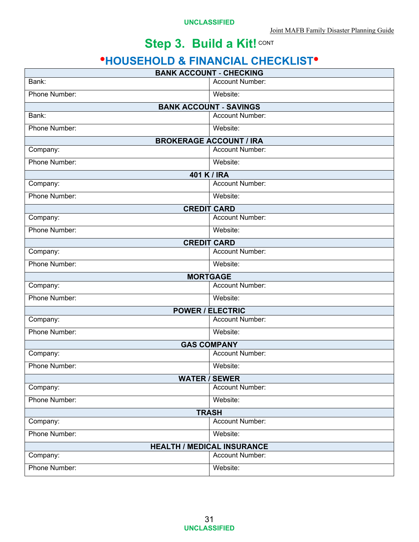# **HOUSEHOLD & FINANCIAL CHECKLIST**

| <b>BANK ACCOUNT - CHECKING</b> |                                   |  |
|--------------------------------|-----------------------------------|--|
| Bank:                          | <b>Account Number:</b>            |  |
| Phone Number:                  | Website:                          |  |
|                                | <b>BANK ACCOUNT - SAVINGS</b>     |  |
| Bank:                          | Account Number:                   |  |
| Phone Number:                  | Website:                          |  |
|                                | <b>BROKERAGE ACCOUNT / IRA</b>    |  |
| Company:                       | Account Number:                   |  |
| Phone Number:                  | Website:                          |  |
|                                | 401 K / IRA                       |  |
| Company:                       | Account Number:                   |  |
| Phone Number:                  | Website:                          |  |
|                                | <b>CREDIT CARD</b>                |  |
| Company:                       | Account Number:                   |  |
| Phone Number:                  | Website:                          |  |
|                                | <b>CREDIT CARD</b>                |  |
| Company:                       | Account Number:                   |  |
| Phone Number:                  | Website:                          |  |
|                                | <b>MORTGAGE</b>                   |  |
| Company:                       | <b>Account Number:</b>            |  |
| Phone Number:                  | Website:                          |  |
|                                | <b>POWER / ELECTRIC</b>           |  |
| Company:                       | <b>Account Number:</b>            |  |
| Phone Number:                  | Website:                          |  |
|                                | <b>GAS COMPANY</b>                |  |
| Company:                       | <b>Account Number:</b>            |  |
| Phone Number:                  | Website:                          |  |
|                                | <b>WATER / SEWER</b>              |  |
| Company:                       | Account Number:                   |  |
| Phone Number:                  | Website:                          |  |
|                                | <b>TRASH</b>                      |  |
| Company:                       | Account Number:                   |  |
| Phone Number:                  | Website:                          |  |
|                                | <b>HEALTH / MEDICAL INSURANCE</b> |  |
| Company:                       | Account Number:                   |  |
| Phone Number:                  | Website:                          |  |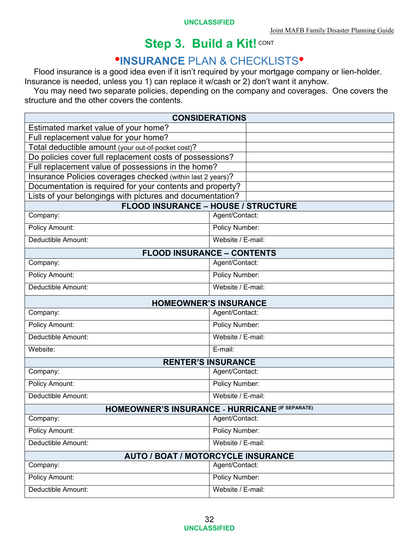# *INSURANCE PLAN & CHECKLISTS<sup>®</sup>*

Flood insurance is a good idea even if it isn't required by your mortgage company or lien-holder. Insurance is needed, unless you 1) can replace it w/cash or 2) don't want it anyhow.

You may need two separate policies, depending on the company and coverages. One covers the structure and the other covers the contents.

| <b>CONSIDERATIONS</b>                                       |                                                              |  |  |
|-------------------------------------------------------------|--------------------------------------------------------------|--|--|
| Estimated market value of your home?                        |                                                              |  |  |
| Full replacement value for your home?                       |                                                              |  |  |
| Total deductible amount (your out-of-pocket cost)?          |                                                              |  |  |
| Do policies cover full replacement costs of possessions?    |                                                              |  |  |
| Full replacement value of possessions in the home?          |                                                              |  |  |
| Insurance Policies coverages checked (within last 2 years)? |                                                              |  |  |
| Documentation is required for your contents and property?   |                                                              |  |  |
| Lists of your belongings with pictures and documentation?   |                                                              |  |  |
| Company:                                                    | <b>FLOOD INSURANCE - HOUSE / STRUCTURE</b><br>Agent/Contact: |  |  |
|                                                             |                                                              |  |  |
| Policy Amount:                                              | Policy Number:                                               |  |  |
| Deductible Amount:                                          | Website / E-mail:                                            |  |  |
|                                                             | <b>FLOOD INSURANCE - CONTENTS</b>                            |  |  |
| Company:                                                    | Agent/Contact:                                               |  |  |
| <b>Policy Amount:</b>                                       | Policy Number:                                               |  |  |
| Deductible Amount:                                          | Website / E-mail:                                            |  |  |
|                                                             | <b>HOMEOWNER'S INSURANCE</b>                                 |  |  |
| Company:                                                    | Agent/Contact:                                               |  |  |
| <b>Policy Amount:</b>                                       | Policy Number:                                               |  |  |
| Deductible Amount:                                          | Website / E-mail:                                            |  |  |
| Website:                                                    | E-mail:                                                      |  |  |
|                                                             | <b>RENTER'S INSURANCE</b>                                    |  |  |
| Company:                                                    | Agent/Contact:                                               |  |  |
| Policy Amount:                                              | Policy Number:                                               |  |  |
| Deductible Amount:                                          | Website / E-mail:                                            |  |  |
|                                                             | <b>HOMEOWNER'S INSURANCE - HURRICANE (IF SEPARATE)</b>       |  |  |
| Company:                                                    | Agent/Contact:                                               |  |  |
| Policy Amount:                                              | Policy Number:                                               |  |  |
| Deductible Amount:                                          | Website / E-mail:                                            |  |  |
|                                                             | <b>AUTO / BOAT / MOTORCYCLE INSURANCE</b>                    |  |  |
| Company:                                                    | Agent/Contact:                                               |  |  |
| Policy Amount:                                              | Policy Number:                                               |  |  |
| Deductible Amount:                                          | Website / E-mail:                                            |  |  |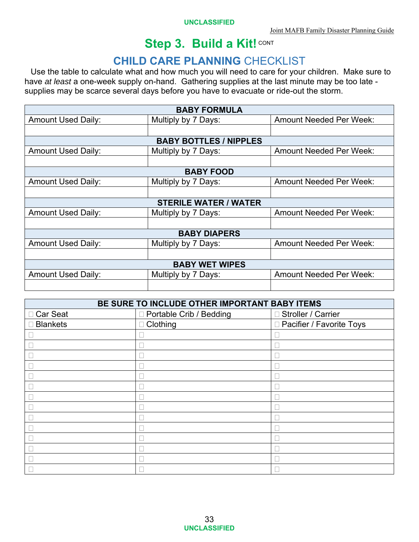# **CHILD CARE PLANNING** CHECKLIST

Use the table to calculate what and how much you will need to care for your children. Make sure to have *at least* a one-week supply on-hand. Gathering supplies at the last minute may be too late supplies may be scarce several days before you have to evacuate or ride-out the storm.

| <b>BABY FORMULA</b>       |                               |                                |  |  |
|---------------------------|-------------------------------|--------------------------------|--|--|
| <b>Amount Used Daily:</b> | Multiply by 7 Days:           | <b>Amount Needed Per Week:</b> |  |  |
|                           |                               |                                |  |  |
|                           | <b>BABY BOTTLES / NIPPLES</b> |                                |  |  |
| <b>Amount Used Daily:</b> | Multiply by 7 Days:           | <b>Amount Needed Per Week:</b> |  |  |
|                           |                               |                                |  |  |
|                           | <b>BABY FOOD</b>              |                                |  |  |
| <b>Amount Used Daily:</b> | Multiply by 7 Days:           | <b>Amount Needed Per Week:</b> |  |  |
|                           |                               |                                |  |  |
|                           | <b>STERILE WATER / WATER</b>  |                                |  |  |
| <b>Amount Used Daily:</b> | Multiply by 7 Days:           | <b>Amount Needed Per Week:</b> |  |  |
|                           |                               |                                |  |  |
|                           | <b>BABY DIAPERS</b>           |                                |  |  |
| <b>Amount Used Daily:</b> | Multiply by 7 Days:           | <b>Amount Needed Per Week:</b> |  |  |
|                           |                               |                                |  |  |
| <b>BABY WET WIPES</b>     |                               |                                |  |  |
| <b>Amount Used Daily:</b> | Multiply by 7 Days:           | <b>Amount Needed Per Week:</b> |  |  |
|                           |                               |                                |  |  |

| BE SURE TO INCLUDE OTHER IMPORTANT BABY ITEMS |                           |                            |  |  |
|-----------------------------------------------|---------------------------|----------------------------|--|--|
| □ Car Seat                                    | □ Portable Crib / Bedding | □ Stroller / Carrier       |  |  |
| <b>Blankets</b>                               | Clothing<br>$\Box$        | □ Pacifier / Favorite Toys |  |  |
|                                               |                           |                            |  |  |
|                                               |                           |                            |  |  |
|                                               |                           |                            |  |  |
|                                               |                           |                            |  |  |
|                                               |                           |                            |  |  |
|                                               |                           |                            |  |  |
|                                               |                           |                            |  |  |
|                                               |                           |                            |  |  |
|                                               |                           |                            |  |  |
|                                               |                           |                            |  |  |
|                                               |                           |                            |  |  |
|                                               |                           |                            |  |  |
|                                               |                           |                            |  |  |
|                                               |                           |                            |  |  |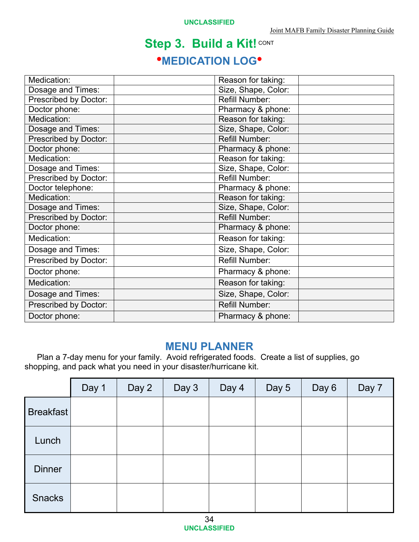# **Step 3. Build a Kit! CONT \*MEDICATION LOG\***

| Medication:                  | Reason for taking:    |  |
|------------------------------|-----------------------|--|
| Dosage and Times:            | Size, Shape, Color:   |  |
| Prescribed by Doctor:        | <b>Refill Number:</b> |  |
| Doctor phone:                | Pharmacy & phone:     |  |
| Medication:                  | Reason for taking:    |  |
| Dosage and Times:            | Size, Shape, Color:   |  |
| Prescribed by Doctor:        | <b>Refill Number:</b> |  |
| Doctor phone:                | Pharmacy & phone:     |  |
| Medication:                  | Reason for taking:    |  |
| Dosage and Times:            | Size, Shape, Color:   |  |
| <b>Prescribed by Doctor:</b> | <b>Refill Number:</b> |  |
| Doctor telephone:            | Pharmacy & phone:     |  |
| Medication:                  | Reason for taking:    |  |
| Dosage and Times:            | Size, Shape, Color:   |  |
| Prescribed by Doctor:        | <b>Refill Number:</b> |  |
| Doctor phone:                | Pharmacy & phone:     |  |
| Medication:                  | Reason for taking:    |  |
| Dosage and Times:            | Size, Shape, Color:   |  |
| <b>Prescribed by Doctor:</b> | <b>Refill Number:</b> |  |
| Doctor phone:                | Pharmacy & phone:     |  |
| Medication:                  | Reason for taking:    |  |
| Dosage and Times:            | Size, Shape, Color:   |  |
| <b>Prescribed by Doctor:</b> | <b>Refill Number:</b> |  |
| Doctor phone:                | Pharmacy & phone:     |  |

#### **MENU PLANNER**

Plan a 7-day menu for your family. Avoid refrigerated foods. Create a list of supplies, go shopping, and pack what you need in your disaster/hurricane kit.

|                  | Day 1 | Day 2 | Day 3 | Day 4 | Day 5 | Day 6 | Day 7 |
|------------------|-------|-------|-------|-------|-------|-------|-------|
| <b>Breakfast</b> |       |       |       |       |       |       |       |
| Lunch            |       |       |       |       |       |       |       |
| <b>Dinner</b>    |       |       |       |       |       |       |       |
| <b>Snacks</b>    |       |       |       |       |       |       |       |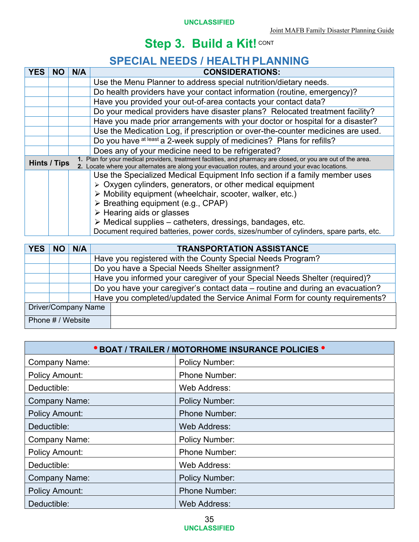# **SPECIAL NEEDS / HEALTH PLANNING**

|  |                                                                                                | N/A | <b>CONSIDERATIONS:</b>                                                                                                                                                                                              |  |  |  |
|--|------------------------------------------------------------------------------------------------|-----|---------------------------------------------------------------------------------------------------------------------------------------------------------------------------------------------------------------------|--|--|--|
|  |                                                                                                |     | Use the Menu Planner to address special nutrition/dietary needs.                                                                                                                                                    |  |  |  |
|  |                                                                                                |     | Do health providers have your contact information (routine, emergency)?                                                                                                                                             |  |  |  |
|  |                                                                                                |     | Have you provided your out-of-area contacts your contact data?                                                                                                                                                      |  |  |  |
|  |                                                                                                |     | Do your medical providers have disaster plans? Relocated treatment facility?                                                                                                                                        |  |  |  |
|  |                                                                                                |     | Have you made prior arrangements with your doctor or hospital for a disaster?                                                                                                                                       |  |  |  |
|  |                                                                                                |     | Use the Medication Log, if prescription or over-the-counter medicines are used.                                                                                                                                     |  |  |  |
|  |                                                                                                |     | Do you have at least a 2-week supply of medicines? Plans for refills?                                                                                                                                               |  |  |  |
|  |                                                                                                |     | Does any of your medicine need to be refrigerated?                                                                                                                                                                  |  |  |  |
|  | <b>Hints / Tips</b>                                                                            |     | 1. Plan for your medical providers, treatment facilities, and pharmacy are closed, or you are out of the area.<br>2. Locate where your alternates are along your evacuation routes, and around your evac locations. |  |  |  |
|  |                                                                                                |     | Use the Specialized Medical Equipment Info section if a family member uses                                                                                                                                          |  |  |  |
|  |                                                                                                |     | > Oxygen cylinders, generators, or other medical equipment                                                                                                                                                          |  |  |  |
|  | > Mobility equipment (wheelchair, scooter, walker, etc.)<br>> Breathing equipment (e.g., CPAP) |     |                                                                                                                                                                                                                     |  |  |  |
|  |                                                                                                |     |                                                                                                                                                                                                                     |  |  |  |
|  | $\triangleright$ Hearing aids or glasses                                                       |     |                                                                                                                                                                                                                     |  |  |  |
|  | $\triangleright$ Medical supplies – catheters, dressings, bandages, etc.                       |     |                                                                                                                                                                                                                     |  |  |  |
|  | Document required batteries, power cords, sizes/number of cylinders, spare parts, etc.         |     |                                                                                                                                                                                                                     |  |  |  |

| YES   NO   N/A      |  |  | <b>TRANSPORTATION ASSISTANCE</b>                                              |  |  |  |  |
|---------------------|--|--|-------------------------------------------------------------------------------|--|--|--|--|
|                     |  |  | Have you registered with the County Special Needs Program?                    |  |  |  |  |
|                     |  |  | Do you have a Special Needs Shelter assignment?                               |  |  |  |  |
|                     |  |  | Have you informed your caregiver of your Special Needs Shelter (required)?    |  |  |  |  |
|                     |  |  | Do you have your caregiver's contact data – routine and during an evacuation? |  |  |  |  |
|                     |  |  | Have you completed/updated the Service Animal Form for county requirements?   |  |  |  |  |
| Driver/Company Name |  |  |                                                                               |  |  |  |  |
| Phone # / Website   |  |  |                                                                               |  |  |  |  |

| <b>• BOAT / TRAILER / MOTORHOME INSURANCE POLICIES •</b> |                       |  |  |  |
|----------------------------------------------------------|-----------------------|--|--|--|
| <b>Company Name:</b>                                     | <b>Policy Number:</b> |  |  |  |
| <b>Policy Amount:</b>                                    | <b>Phone Number:</b>  |  |  |  |
| Deductible:                                              | Web Address:          |  |  |  |
| <b>Company Name:</b>                                     | <b>Policy Number:</b> |  |  |  |
| <b>Policy Amount:</b>                                    | <b>Phone Number:</b>  |  |  |  |
| Deductible:                                              | <b>Web Address:</b>   |  |  |  |
| <b>Company Name:</b>                                     | <b>Policy Number:</b> |  |  |  |
| <b>Policy Amount:</b>                                    | <b>Phone Number:</b>  |  |  |  |
| Deductible:                                              | Web Address:          |  |  |  |
| <b>Company Name:</b>                                     | <b>Policy Number:</b> |  |  |  |
| <b>Policy Amount:</b>                                    | <b>Phone Number:</b>  |  |  |  |
| Deductible:                                              | <b>Web Address:</b>   |  |  |  |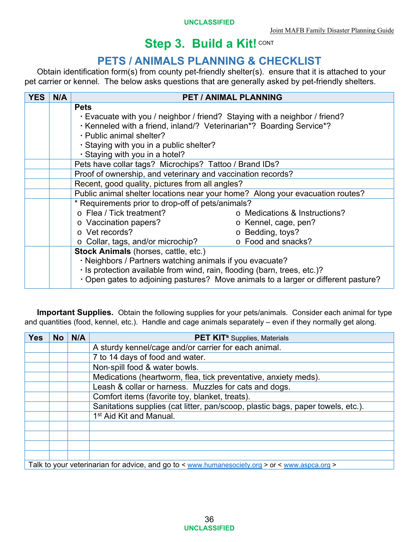# **PETS / ANIMALS PLANNING & CHECKLIST**

Obtain identification form(s) from county pet-friendly shelter(s). ensure that it is attached to your pet carrier or kennel. The below asks questions that are generally asked by pet-friendly shelters.

| <b>YES</b> | N/A | <b>PET / ANIMAL PLANNING</b>                                                       |  |  |  |
|------------|-----|------------------------------------------------------------------------------------|--|--|--|
|            |     | <b>Pets</b>                                                                        |  |  |  |
|            |     | · Evacuate with you / neighbor / friend? Staying with a neighbor / friend?         |  |  |  |
|            |     | . Kenneled with a friend, inland/? Veterinarian*? Boarding Service*?               |  |  |  |
|            |     | · Public animal shelter?                                                           |  |  |  |
|            |     | · Staying with you in a public shelter?                                            |  |  |  |
|            |     | · Staying with you in a hotel?                                                     |  |  |  |
|            |     | Pets have collar tags? Microchips? Tattoo / Brand IDs?                             |  |  |  |
|            |     | Proof of ownership, and veterinary and vaccination records?                        |  |  |  |
|            |     | Recent, good quality, pictures from all angles?                                    |  |  |  |
|            |     | Public animal shelter locations near your home? Along your evacuation routes?      |  |  |  |
|            |     | * Requirements prior to drop-off of pets/animals?                                  |  |  |  |
|            |     | o Flea / Tick treatment?<br>o Medications & Instructions?                          |  |  |  |
|            |     | o Vaccination papers?<br>o Kennel, cage, pen?                                      |  |  |  |
|            |     | o Vet records?<br>o Bedding, toys?                                                 |  |  |  |
|            |     | o Food and snacks?<br>$\circ$ Collar, tags, and/or microchip?                      |  |  |  |
|            |     | Stock Animals (horses, cattle, etc.)                                               |  |  |  |
|            |     | · Neighbors / Partners watching animals if you evacuate?                           |  |  |  |
|            |     | · Is protection available from wind, rain, flooding (barn, trees, etc.)?           |  |  |  |
|            |     | · Open gates to adjoining pastures? Move animals to a larger or different pasture? |  |  |  |

**Important Supplies.** Obtain the following supplies for your pets/animals. Consider each animal for type and quantities (food, kennel, etc.). Handle and cage animals separately – even if they normally get along.

| <b>Yes</b>                                                                                     | <b>No</b>                     | N/A | <b>PET KIT</b> <sup>s</sup> Supplies, Materials                                 |  |  |  |
|------------------------------------------------------------------------------------------------|-------------------------------|-----|---------------------------------------------------------------------------------|--|--|--|
|                                                                                                |                               |     | A sturdy kennel/cage and/or carrier for each animal.                            |  |  |  |
|                                                                                                |                               |     | 7 to 14 days of food and water.                                                 |  |  |  |
|                                                                                                | Non-spill food & water bowls. |     |                                                                                 |  |  |  |
| Medications (heartworm, flea, tick preventative, anxiety meds).                                |                               |     |                                                                                 |  |  |  |
| Leash & collar or harness. Muzzles for cats and dogs.                                          |                               |     |                                                                                 |  |  |  |
|                                                                                                |                               |     | Comfort items (favorite toy, blanket, treats).                                  |  |  |  |
|                                                                                                |                               |     | Sanitations supplies (cat litter, pan/scoop, plastic bags, paper towels, etc.). |  |  |  |
|                                                                                                |                               |     | 1 <sup>st</sup> Aid Kit and Manual.                                             |  |  |  |
|                                                                                                |                               |     |                                                                                 |  |  |  |
|                                                                                                |                               |     |                                                                                 |  |  |  |
|                                                                                                |                               |     |                                                                                 |  |  |  |
|                                                                                                |                               |     |                                                                                 |  |  |  |
| Talk to your veterinarian for advice, and go to < www.humanesociety.org > or < www.aspca.org > |                               |     |                                                                                 |  |  |  |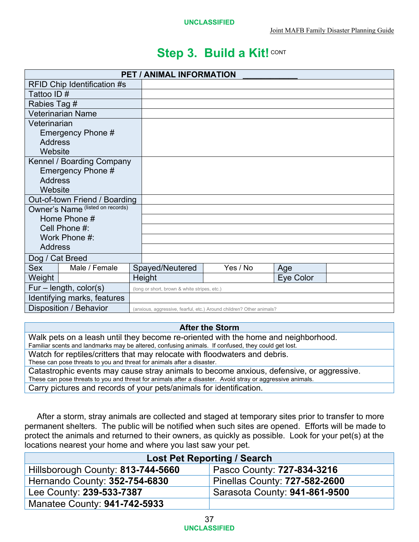| <b>PET / ANIMAL INFORMATION</b>    |                                              |  |                                                                      |  |           |  |
|------------------------------------|----------------------------------------------|--|----------------------------------------------------------------------|--|-----------|--|
| <b>RFID Chip Identification #s</b> |                                              |  |                                                                      |  |           |  |
| Tattoo ID#                         |                                              |  |                                                                      |  |           |  |
| Rabies Tag #                       |                                              |  |                                                                      |  |           |  |
| <b>Veterinarian Name</b>           |                                              |  |                                                                      |  |           |  |
| Veterinarian                       |                                              |  |                                                                      |  |           |  |
| Emergency Phone #                  |                                              |  |                                                                      |  |           |  |
| <b>Address</b>                     |                                              |  |                                                                      |  |           |  |
| Website                            |                                              |  |                                                                      |  |           |  |
| Kennel / Boarding Company          |                                              |  |                                                                      |  |           |  |
| Emergency Phone #                  |                                              |  |                                                                      |  |           |  |
| <b>Address</b>                     |                                              |  |                                                                      |  |           |  |
| Website                            |                                              |  |                                                                      |  |           |  |
| Out-of-town Friend / Boarding      |                                              |  |                                                                      |  |           |  |
| Owner's Name (listed on records)   |                                              |  |                                                                      |  |           |  |
| Home Phone #                       |                                              |  |                                                                      |  |           |  |
| Cell Phone #:                      |                                              |  |                                                                      |  |           |  |
| Work Phone #:                      |                                              |  |                                                                      |  |           |  |
| <b>Address</b>                     |                                              |  |                                                                      |  |           |  |
| Dog / Cat Breed                    |                                              |  |                                                                      |  |           |  |
| Male / Female<br><b>Sex</b>        | Spayed/Neutered                              |  | Yes / No                                                             |  | Age       |  |
| Weight                             | Height                                       |  |                                                                      |  | Eye Color |  |
| $Fur - length, color(s)$           | (long or short, brown & white stripes, etc.) |  |                                                                      |  |           |  |
| Identifying marks, features        |                                              |  |                                                                      |  |           |  |
| Disposition / Behavior             |                                              |  | (anxious, aggressive, fearful, etc.) Around children? Other animals? |  |           |  |

#### **After the Storm**

Walk pets on a leash until they become re-oriented with the home and neighborhood.<br>Familiar scents and landmarks may be altered, confusing animals. If confused, they could get lost.

Watch for reptiles/critters that may relocate with floodwaters and debris.

These can pose threats to you and threat for animals after a disaster.

Catastrophic events may cause stray animals to become anxious, defensive, or aggressive. These can pose threats to you and threat for animals after a disaster. Avoid stray or aggressive animals. Carry pictures and records of your pets/animals for identification.

After a storm, stray animals are collected and staged at temporary sites prior to transfer to more permanent shelters. The public will be notified when such sites are opened. Efforts will be made to protect the animals and returned to their owners, as quickly as possible. Look for your pet(s) at the locations nearest your home and where you last saw your pet.

| <b>Lost Pet Reporting / Search</b> |                               |  |
|------------------------------------|-------------------------------|--|
| Hillsborough County: 813-744-5660  | Pasco County: 727-834-3216    |  |
| Hernando County: 352-754-6830      | Pinellas County: 727-582-2600 |  |
| Lee County: 239-533-7387           | Sarasota County: 941-861-9500 |  |
| Manatee County: 941-742-5933       |                               |  |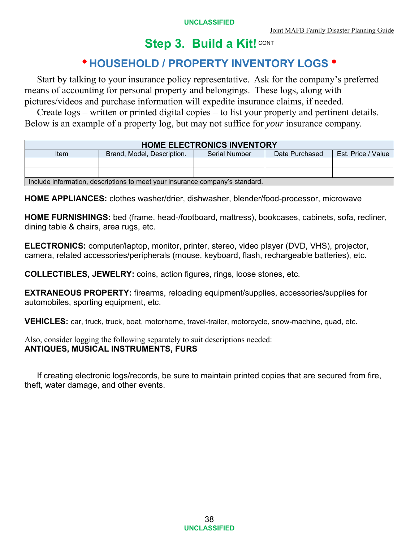## **HOUSEHOLD / PROPERTY INVENTORY LOGS**

Start by talking to your insurance policy representative. Ask for the company's preferred means of accounting for personal property and belongings. These logs, along with pictures/videos and purchase information will expedite insurance claims, if needed.

Create logs – written or printed digital copies – to list your property and pertinent details. Below is an example of a property log, but may not suffice for *your* insurance company.

| <b>HOME ELECTRONICS INVENTORY</b>                                            |                            |               |                |                    |  |
|------------------------------------------------------------------------------|----------------------------|---------------|----------------|--------------------|--|
| Item                                                                         | Brand, Model, Description, | Serial Number | Date Purchased | Est. Price / Value |  |
|                                                                              |                            |               |                |                    |  |
|                                                                              |                            |               |                |                    |  |
| Include information, descriptions to meet your insurance company's standard. |                            |               |                |                    |  |

**HOME APPLIANCES:** clothes washer/drier, dishwasher, blender/food-processor, microwave

**HOME FURNISHINGS:** bed (frame, head-/footboard, mattress), bookcases, cabinets, sofa, recliner, dining table & chairs, area rugs, etc.

**ELECTRONICS:** computer/laptop, monitor, printer, stereo, video player (DVD, VHS), projector, camera, related accessories/peripherals (mouse, keyboard, flash, rechargeable batteries), etc.

**COLLECTIBLES, JEWELRY:** coins, action figures, rings, loose stones, etc.

**EXTRANEOUS PROPERTY:** firearms, reloading equipment/supplies, accessories/supplies for automobiles, sporting equipment, etc.

**VEHICLES:** car, truck, truck, boat, motorhome, travel-trailer, motorcycle, snow-machine, quad, etc.

Also, consider logging the following separately to suit descriptions needed: **ANTIQUES, MUSICAL INSTRUMENTS, FURS**

If creating electronic logs/records, be sure to maintain printed copies that are secured from fire, theft, water damage, and other events.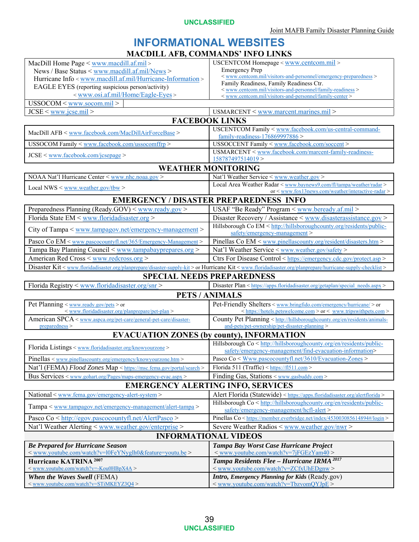**UNCLASSIFIED** 

#### **INFORMATIONAL WEBSITES MACDILL AFB, COMMANDS' INFO LINKS**

| MacDill Home Page < www.macdill.af.mil>                                                                                                                      | USCENTCOM Homepage < www.centcom.mil >                                                                                           |  |  |  |
|--------------------------------------------------------------------------------------------------------------------------------------------------------------|----------------------------------------------------------------------------------------------------------------------------------|--|--|--|
| News / Base Status < www.macdill.af.mil/News >                                                                                                               | <b>Emergency Prep</b>                                                                                                            |  |  |  |
| Hurricane Info < www.macdill.af.mil/Hurricane-Information >                                                                                                  | < www.centcom.mil/visitors-and-personnel/emergency-preparedness >                                                                |  |  |  |
| EAGLE EYES (reporting suspicious person/activity)                                                                                                            | Family Readiness, Family Readiness Ctr.                                                                                          |  |  |  |
| < www.osi.af.mil/Home/Eagle-Eyes >                                                                                                                           | < www.centcom.mil/visitors-and-personnel/family-readiness >                                                                      |  |  |  |
| USSOCOM < www.socom.mil >                                                                                                                                    | < www.centcom.mil/visitors-and-personnel/family-center >                                                                         |  |  |  |
| $JCSE <$ www.jcse.mil >                                                                                                                                      |                                                                                                                                  |  |  |  |
|                                                                                                                                                              | USMARCENT < www.marcent.marines.mil >                                                                                            |  |  |  |
|                                                                                                                                                              | <b>FACEBOOK LINKS</b>                                                                                                            |  |  |  |
| MacDill AFB < www.facebook.com/MacDillAirForceBase >                                                                                                         | USCENTCOM Family < www.facebook.com/us-central-command-                                                                          |  |  |  |
|                                                                                                                                                              | family-readiness-176869997886>                                                                                                   |  |  |  |
| USSOCOM Family < www.facebook.com/ussocomffrp>                                                                                                               | USSOCCENT Family < www.facebook.com/soccent >                                                                                    |  |  |  |
| $JCSE <$ www.facebook.com/jcsepage >                                                                                                                         | USMARCENT < www.facebook.com/marcent-family-readiness-<br>158787497514019>                                                       |  |  |  |
|                                                                                                                                                              | <b>WEATHER MONITORING</b>                                                                                                        |  |  |  |
| NOAA Nat'l Hurricane Center < www.nhc.noaa.gov >                                                                                                             | Nat'l Weather Service < www.weather.gov >                                                                                        |  |  |  |
|                                                                                                                                                              | Local Area Weather Radar < www.baynews9.com/fl/tampa/weather/radar >                                                             |  |  |  |
| Local NWS $\leq$ www.weather.gov/tbw $>$                                                                                                                     | or < www.fox13news.com/weather/interactive-radar >                                                                               |  |  |  |
|                                                                                                                                                              | <b>EMERGENCY / DISASTER PREPAREDNESS INFO</b>                                                                                    |  |  |  |
| Preparedness Planning (Ready.GOV) < www.ready.gov >                                                                                                          | USAF "Be Ready" Program < www.beready.af.mil >                                                                                   |  |  |  |
| Florida State EM < www.floridadisaster.org >                                                                                                                 | Disaster Recovery / Assistance < www.disasterassistance.gov >                                                                    |  |  |  |
|                                                                                                                                                              | Hillsborough Co EM < http://hillsboroughcounty.org/residents/public-                                                             |  |  |  |
| City of Tampa < www.tampagov.net/emergency-management >                                                                                                      | safety/emergency-management>                                                                                                     |  |  |  |
| Pasco Co EM < www.pascocountyfl.net/365/Emergency-Management >                                                                                               | Pinellas Co EM < www.pinellascounty.org/resident/disasters.htm>                                                                  |  |  |  |
| Tampa Bay Planning Council < www.tampabayprepares.org >                                                                                                      | Nat'l Weather Service < www.weather.gov/safety >                                                                                 |  |  |  |
| American Red Cross < www.redcross.org >                                                                                                                      | Ctrs For Disease Control < https://emergency.cdc.gov/protect.asp>                                                                |  |  |  |
| Disaster Kit < www.floridadisaster.org/planprepare/disaster-supply-kit > or Hurricane Kit < www.floridadisaster.org/planprepare/hurricane-supply-checklist > |                                                                                                                                  |  |  |  |
|                                                                                                                                                              | <b>SPECIAL NEEDS PREPAREDNESS</b>                                                                                                |  |  |  |
| Florida Registry < www.floridadisaster.org/snr>                                                                                                              |                                                                                                                                  |  |  |  |
|                                                                                                                                                              | Disaster Plan < https://apps.floridadisaster.org/getaplan/special_needs.aspx >                                                   |  |  |  |
|                                                                                                                                                              | <b>PETS / ANIMALS</b>                                                                                                            |  |  |  |
| Pet Planning $\langle$ www.ready.gov/pets $>$ or                                                                                                             | Pet-Friendly Shelters < www.bringfido.com/emergency/hurricane/>or                                                                |  |  |  |
| < www.floridadisaster.org/planprepare/pet-plan >                                                                                                             | <https: hotels.petswelcome.com=""> or &lt; www.tripswithpets.com &gt;</https:>                                                   |  |  |  |
| American SPCA < www.aspca.org/pet-care/general-pet-care/disaster-<br>preparedness >                                                                          | County Pet Planning < http://hillsboroughcounty.org/en/residents/animals-<br>and-pets/pet-ownership/pet-disaster-planning >      |  |  |  |
|                                                                                                                                                              |                                                                                                                                  |  |  |  |
|                                                                                                                                                              | <b>EVACUATION ZONES (by county), INFORMATION</b>                                                                                 |  |  |  |
| Florida Listings < www.floridadisaster.org/knowyourzone >                                                                                                    | Hillsborough Co < http://hillsboroughcounty.org/en/residents/public-<br>safety/emergency-management/find-evacuation-information> |  |  |  |
|                                                                                                                                                              | Pasco Co < Www.pascocountyfl.net/3610/Evacuation-Zones >                                                                         |  |  |  |
| $Pinellas <$ www.pinellascounty.org/emergency/knowyourzone.htm>                                                                                              |                                                                                                                                  |  |  |  |
| Nat'l (FEMA) Flood Zones Map < https://msc.fema.gov/portal/search >                                                                                          | Florida 511 (Traffic) < https://fl511.com >                                                                                      |  |  |  |
| Bus Services < www.gohart.org/Pages/maps-emergency-evac.aspx >                                                                                               | Finding Gas, Stations < www.gasbuddy.com >                                                                                       |  |  |  |
|                                                                                                                                                              | <b>EMERGENCY ALERTING INFO, SERVICES</b>                                                                                         |  |  |  |
| National < www.fema.gov/emergency-alert-system >                                                                                                             | Alert Florida (Statewide) < https://apps.floridadisaster.org/alertflorida >                                                      |  |  |  |
| $Tampa \leq$ www.tampagov.net/emergency-management/alert-tampa $\geq$                                                                                        | Hillsborough Co < http://hillsboroughcounty.org/en/residents/public-                                                             |  |  |  |
|                                                                                                                                                              | safety/emergency-management/hcfl-alert>                                                                                          |  |  |  |
| Pasco Co < http://egov.pascocountyfl.net/AlertPasco >                                                                                                        | Pinellas Co < https://member.everbridge.net/index/453003085614894#/login >                                                       |  |  |  |
| Nat'l Weather Alerting < www.weather.gov/enterprise >                                                                                                        | Severe Weather Radios $\leq$ www.weather.gov/nwr $>$                                                                             |  |  |  |
| <b>INFORMATIONAL VIDEOS</b>                                                                                                                                  |                                                                                                                                  |  |  |  |
|                                                                                                                                                              |                                                                                                                                  |  |  |  |
|                                                                                                                                                              |                                                                                                                                  |  |  |  |
| <b>Be Prepared for Hurricane Season</b><br>< www.youtube.com/watch?v=l0FeYNyglh0&feature=youtu.be >                                                          | Tampa Bay Worst Case Hurricane Project<br>< www.youtube.com/watch?v=7jFGEzYam40 >                                                |  |  |  |
| Hurricane KATRINA <sup>2007</sup>                                                                                                                            |                                                                                                                                  |  |  |  |
| <www.youtube.com watch?v="-Kou0HBpX4A"></www.youtube.com>                                                                                                    | Tampa Residents Flee - Hurricane IRMA <sup>2017</sup><br>< www.youtube.com/watch?v=ZCfxUhEDgnw >                                 |  |  |  |
| <b>When the Waves Swell (FEMA)</b>                                                                                                                           | <b>Intro, Emergency Planning for Kids (Ready.gov)</b>                                                                            |  |  |  |